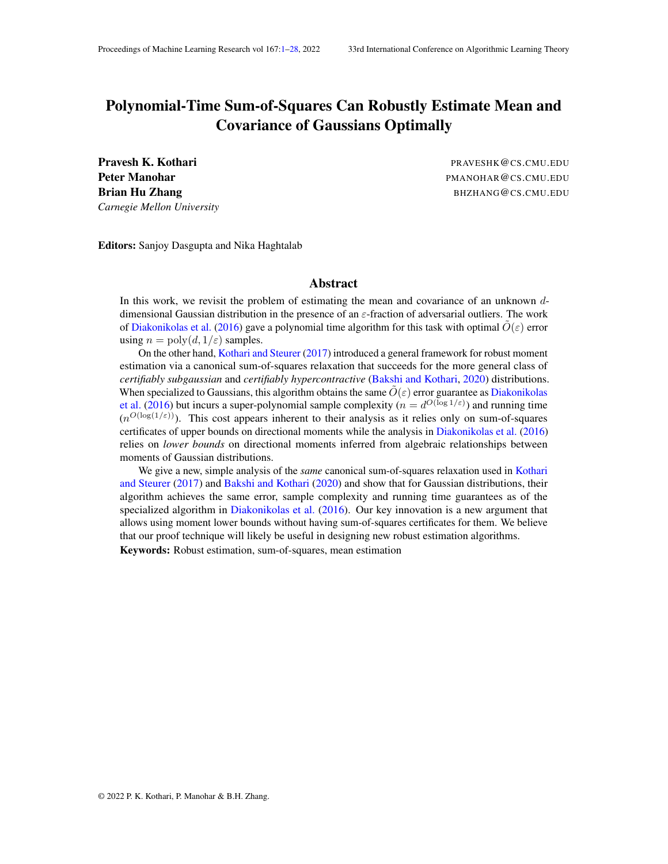# <span id="page-0-0"></span>Polynomial-Time Sum-of-Squares Can Robustly Estimate Mean and Covariance of Gaussians Optimally

Pravesh K. Kothari **Pravesh K. Kothari** PRAVESHK@CS.CMU.EDU *Carnegie Mellon University*

Peter Manohar **Pater Manohar PMANOHAR** @CS.CMU.EDU Brian Hu Zhang BHZHANG@CS.CMU.EDU

Editors: Sanjoy Dasgupta and Nika Haghtalab

# Abstract

In this work, we revisit the problem of estimating the mean and covariance of an unknown ddimensional Gaussian distribution in the presence of an  $\varepsilon$ -fraction of adversarial outliers. The work of [Diakonikolas et al.](#page-21-0) [\(2016\)](#page-21-0) gave a polynomial time algorithm for this task with optimal  $O(\varepsilon)$  error using  $n = \text{poly}(d, 1/\varepsilon)$  samples.

On the other hand, [Kothari and Steurer](#page-22-0) [\(2017\)](#page-22-0) introduced a general framework for robust moment estimation via a canonical sum-of-squares relaxation that succeeds for the more general class of *certifiably subgaussian* and *certifiably hypercontractive* [\(Bakshi and Kothari,](#page-21-1) [2020\)](#page-21-1) distributions. When specialized to Gaussians, this algorithm obtains the same  $\ddot{O}(\varepsilon)$  error guarantee as [Diakonikolas](#page-21-0) [et al.](#page-21-0) [\(2016\)](#page-21-0) but incurs a super-polynomial sample complexity ( $n = d^{O(\log 1/\varepsilon)}$ ) and running time  $(n^{O(\log(1/\varepsilon))})$ . This cost appears inherent to their analysis as it relies only on sum-of-squares certificates of upper bounds on directional moments while the analysis in [Diakonikolas et al.](#page-21-0) [\(2016\)](#page-21-0) relies on *lower bounds* on directional moments inferred from algebraic relationships between moments of Gaussian distributions.

We give a new, simple analysis of the *same* canonical sum-of-squares relaxation used in [Kothari](#page-22-0) [and Steurer](#page-22-0) [\(2017\)](#page-22-0) and [Bakshi and Kothari](#page-21-1) [\(2020\)](#page-21-1) and show that for Gaussian distributions, their algorithm achieves the same error, sample complexity and running time guarantees as of the specialized algorithm in [Diakonikolas et al.](#page-21-0) [\(2016\)](#page-21-0). Our key innovation is a new argument that allows using moment lower bounds without having sum-of-squares certificates for them. We believe that our proof technique will likely be useful in designing new robust estimation algorithms.

Keywords: Robust estimation, sum-of-squares, mean estimation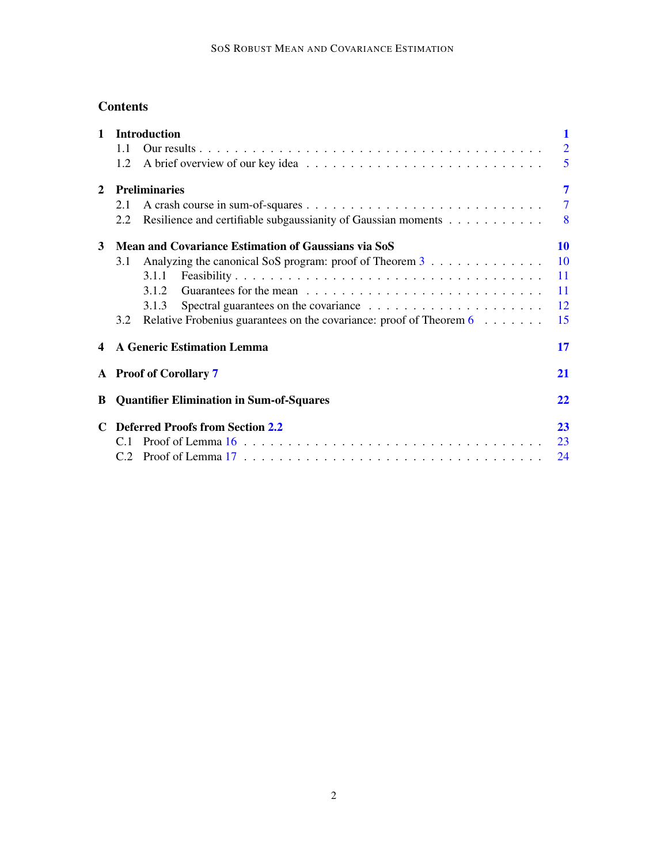# **Contents**

| $\mathbf{1}$   | <b>Introduction</b>                                 |                                                                                     | $\mathbf 1$    |
|----------------|-----------------------------------------------------|-------------------------------------------------------------------------------------|----------------|
|                | 1.1                                                 |                                                                                     | $\overline{2}$ |
|                | 1.2                                                 |                                                                                     | 5              |
| $\overline{2}$ | 7<br><b>Preliminaries</b>                           |                                                                                     |                |
|                | 2.1                                                 |                                                                                     | $\overline{7}$ |
|                | 2.2                                                 | Resilience and certifiable subgaussianity of Gaussian moments                       | 8              |
| 3              | Mean and Covariance Estimation of Gaussians via SoS |                                                                                     | <b>10</b>      |
|                | 3.1                                                 | Analyzing the canonical SoS program: proof of Theorem 3                             | <b>10</b>      |
|                |                                                     | 3.1.1                                                                               | 11             |
|                |                                                     |                                                                                     | 11             |
|                |                                                     | 3.1.3                                                                               | 12             |
|                | 3.2                                                 | Relative Frobenius guarantees on the covariance: proof of Theorem $6 \ldots \ldots$ | 15             |
| 4              |                                                     | <b>A Generic Estimation Lemma</b>                                                   | 17             |
|                |                                                     | A Proof of Corollary 7                                                              | <b>21</b>      |
| B              |                                                     | <b>Quantifier Elimination in Sum-of-Squares</b>                                     | 22             |
|                | <b>Deferred Proofs from Section 2.2</b>             |                                                                                     | 23             |
|                | C.1                                                 |                                                                                     | 23             |
|                |                                                     |                                                                                     | 24             |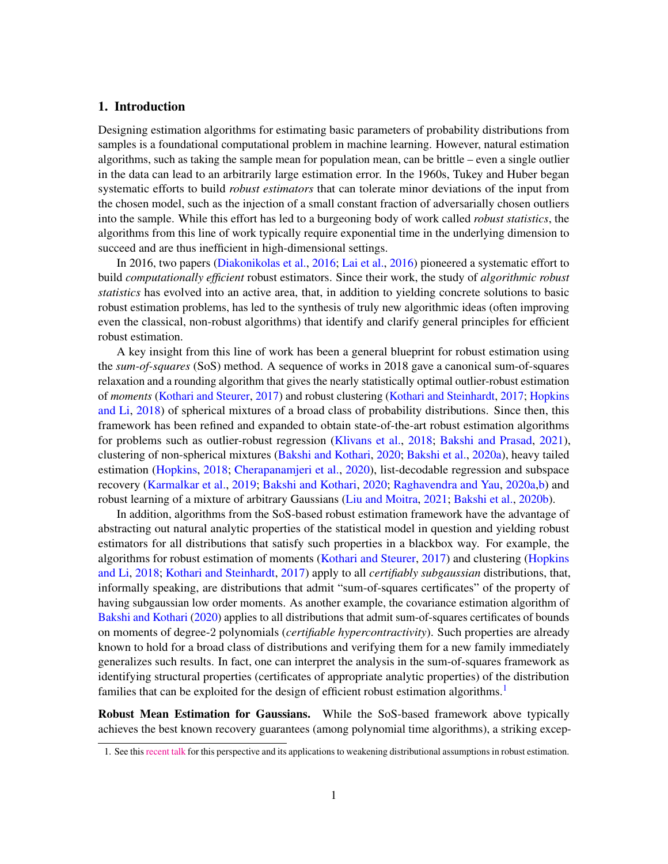# <span id="page-2-0"></span>1. Introduction

Designing estimation algorithms for estimating basic parameters of probability distributions from samples is a foundational computational problem in machine learning. However, natural estimation algorithms, such as taking the sample mean for population mean, can be brittle – even a single outlier in the data can lead to an arbitrarily large estimation error. In the 1960s, Tukey and Huber began systematic efforts to build *robust estimators* that can tolerate minor deviations of the input from the chosen model, such as the injection of a small constant fraction of adversarially chosen outliers into the sample. While this effort has led to a burgeoning body of work called *robust statistics*, the algorithms from this line of work typically require exponential time in the underlying dimension to succeed and are thus inefficient in high-dimensional settings.

In 2016, two papers [\(Diakonikolas et al.,](#page-21-0) [2016;](#page-21-0) [Lai et al.,](#page-22-1) [2016\)](#page-22-1) pioneered a systematic effort to build *computationally efficient* robust estimators. Since their work, the study of *algorithmic robust statistics* has evolved into an active area, that, in addition to yielding concrete solutions to basic robust estimation problems, has led to the synthesis of truly new algorithmic ideas (often improving even the classical, non-robust algorithms) that identify and clarify general principles for efficient robust estimation.

A key insight from this line of work has been a general blueprint for robust estimation using the *sum-of-squares* (SoS) method. A sequence of works in 2018 gave a canonical sum-of-squares relaxation and a rounding algorithm that gives the nearly statistically optimal outlier-robust estimation of *moments* [\(Kothari and Steurer,](#page-22-0) [2017\)](#page-22-0) and robust clustering [\(Kothari and Steinhardt,](#page-22-2) [2017;](#page-22-2) [Hopkins](#page-22-3) [and Li,](#page-22-3) [2018\)](#page-22-3) of spherical mixtures of a broad class of probability distributions. Since then, this framework has been refined and expanded to obtain state-of-the-art robust estimation algorithms for problems such as outlier-robust regression [\(Klivans et al.,](#page-22-4) [2018;](#page-22-4) [Bakshi and Prasad,](#page-21-2) [2021\)](#page-21-2), clustering of non-spherical mixtures [\(Bakshi and Kothari,](#page-21-1) [2020;](#page-21-1) [Bakshi et al.,](#page-21-3) [2020a\)](#page-21-3), heavy tailed estimation [\(Hopkins,](#page-22-5) [2018;](#page-22-5) [Cherapanamjeri et al.,](#page-21-4) [2020\)](#page-21-4), list-decodable regression and subspace recovery [\(Karmalkar et al.,](#page-22-6) [2019;](#page-22-6) [Bakshi and Kothari,](#page-21-1) [2020;](#page-21-1) [Raghavendra and Yau,](#page-22-7) [2020a,](#page-22-7)[b\)](#page-22-8) and robust learning of a mixture of arbitrary Gaussians [\(Liu and Moitra,](#page-22-9) [2021;](#page-22-9) [Bakshi et al.,](#page-21-5) [2020b\)](#page-21-5).

In addition, algorithms from the SoS-based robust estimation framework have the advantage of abstracting out natural analytic properties of the statistical model in question and yielding robust estimators for all distributions that satisfy such properties in a blackbox way. For example, the algorithms for robust estimation of moments [\(Kothari and Steurer,](#page-22-0) [2017\)](#page-22-0) and clustering [\(Hopkins](#page-22-3) [and Li,](#page-22-3) [2018;](#page-22-3) [Kothari and Steinhardt,](#page-22-2) [2017\)](#page-22-2) apply to all *certifiably subgaussian* distributions, that, informally speaking, are distributions that admit "sum-of-squares certificates" of the property of having subgaussian low order moments. As another example, the covariance estimation algorithm of [Bakshi and Kothari](#page-21-1) [\(2020\)](#page-21-1) applies to all distributions that admit sum-of-squares certificates of bounds on moments of degree-2 polynomials (*certifiable hypercontractivity*). Such properties are already known to hold for a broad class of distributions and verifying them for a new family immediately generalizes such results. In fact, one can interpret the analysis in the sum-of-squares framework as identifying structural properties (certificates of appropriate analytic properties) of the distribution families that can be exploited for the design of efficient robust estimation algorithms.<sup>[1](#page-2-1)</sup>

Robust Mean Estimation for Gaussians. While the SoS-based framework above typically achieves the best known recovery guarantees (among polynomial time algorithms), a striking excep-

<span id="page-2-1"></span><sup>1.</sup> See this [recent talk](https://simons.berkeley.edu/talks/recent-progress-algorithmic-robust-statistics-sum-squares-method) for this perspective and its applications to weakening distributional assumptions in robust estimation.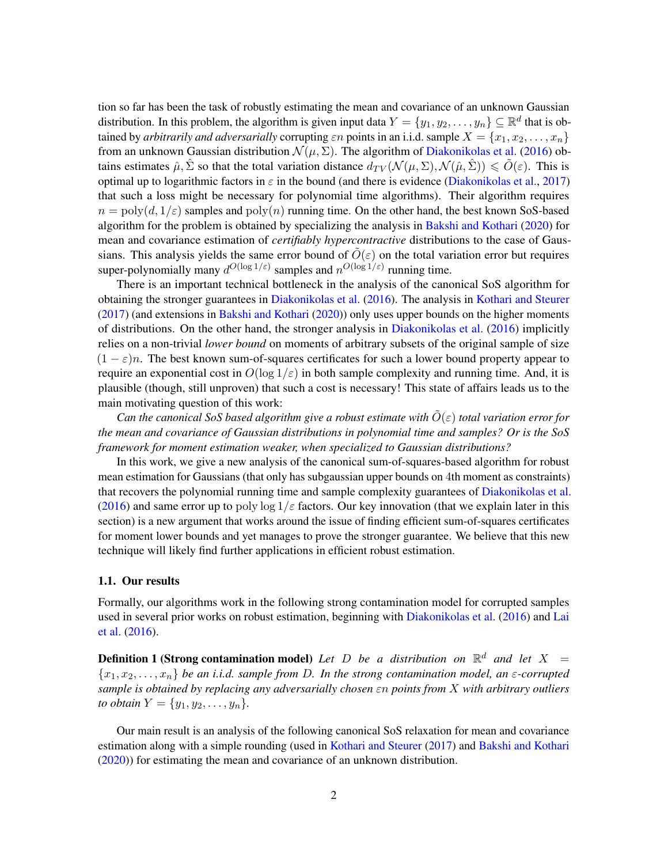tion so far has been the task of robustly estimating the mean and covariance of an unknown Gaussian distribution. In this problem, the algorithm is given input data  $Y = \{y_1, y_2, \dots, y_n\} \subseteq \mathbb{R}^d$  that is obtained by *arbitrarily and adversarially* corrupting  $\varepsilon n$  points in an i.i.d. sample  $X = \{x_1, x_2, \ldots, x_n\}$ from an unknown Gaussian distribution  $\mathcal{N}(\mu, \Sigma)$ . The algorithm of [Diakonikolas et al.](#page-21-0) [\(2016\)](#page-21-0) obtains estimates  $\hat{\mu}, \hat{\Sigma}$  so that the total variation distance  $d_{TV}(\mathcal{N}(\mu, \Sigma), \mathcal{N}(\hat{\mu}, \hat{\Sigma})) \le \tilde{O}(\varepsilon)$ . This is optimal up to logarithmic factors in  $\varepsilon$  in the bound (and there is evidence [\(Diakonikolas et al.,](#page-21-6) [2017\)](#page-21-6) that such a loss might be necessary for polynomial time algorithms). Their algorithm requires  $n = \text{poly}(d, 1/\varepsilon)$  samples and  $\text{poly}(n)$  running time. On the other hand, the best known SoS-based algorithm for the problem is obtained by specializing the analysis in [Bakshi and Kothari](#page-21-1) [\(2020\)](#page-21-1) for mean and covariance estimation of *certifiably hypercontractive* distributions to the case of Gaussians. This analysis yields the same error bound of  $\tilde{O}(\varepsilon)$  on the total variation error but requires super-polynomially many  $d^{O(\log 1/\varepsilon)}$  samples and  $n^{O(\log 1/\varepsilon)}$  running time.

There is an important technical bottleneck in the analysis of the canonical SoS algorithm for obtaining the stronger guarantees in [Diakonikolas et al.](#page-21-0) [\(2016\)](#page-21-0). The analysis in [Kothari and Steurer](#page-22-0) [\(2017\)](#page-22-0) (and extensions in [Bakshi and Kothari](#page-21-1) [\(2020\)](#page-21-1)) only uses upper bounds on the higher moments of distributions. On the other hand, the stronger analysis in [Diakonikolas et al.](#page-21-0) [\(2016\)](#page-21-0) implicitly relies on a non-trivial *lower bound* on moments of arbitrary subsets of the original sample of size  $(1 - \varepsilon)n$ . The best known sum-of-squares certificates for such a lower bound property appear to require an exponential cost in  $O(\log 1/\epsilon)$  in both sample complexity and running time. And, it is plausible (though, still unproven) that such a cost is necessary! This state of affairs leads us to the main motivating question of this work:

*Can the canonical SoS based algorithm give a robust estimate with*  $\tilde{O}(\varepsilon)$  *total variation error for the mean and covariance of Gaussian distributions in polynomial time and samples? Or is the SoS framework for moment estimation weaker, when specialized to Gaussian distributions?*

In this work, we give a new analysis of the canonical sum-of-squares-based algorithm for robust mean estimation for Gaussians (that only has subgaussian upper bounds on 4th moment as constraints) that recovers the polynomial running time and sample complexity guarantees of [Diakonikolas et al.](#page-21-0) [\(2016\)](#page-21-0) and same error up to poly  $\log 1/\varepsilon$  factors. Our key innovation (that we explain later in this section) is a new argument that works around the issue of finding efficient sum-of-squares certificates for moment lower bounds and yet manages to prove the stronger guarantee. We believe that this new technique will likely find further applications in efficient robust estimation.

# <span id="page-3-0"></span>1.1. Our results

Formally, our algorithms work in the following strong contamination model for corrupted samples used in several prior works on robust estimation, beginning with [Diakonikolas et al.](#page-21-0) [\(2016\)](#page-21-0) and [Lai](#page-22-1) [et al.](#page-22-1) [\(2016\)](#page-22-1).

**Definition 1 (Strong contamination model)** Let  $D$  be a distribution on  $\mathbb{R}^d$  and let  $X =$  ${x_1, x_2, \ldots, x_n}$  *be an i.i.d. sample from D. In the strong contamination model, an*  $\varepsilon$ *-corrupted sample is obtained by replacing any adversarially chosen* εn *points from* X *with arbitrary outliers to obtain*  $Y = \{y_1, y_2, \ldots, y_n\}.$ 

Our main result is an analysis of the following canonical SoS relaxation for mean and covariance estimation along with a simple rounding (used in [Kothari and Steurer](#page-22-0) [\(2017\)](#page-22-0) and [Bakshi and Kothari](#page-21-1) [\(2020\)](#page-21-1)) for estimating the mean and covariance of an unknown distribution.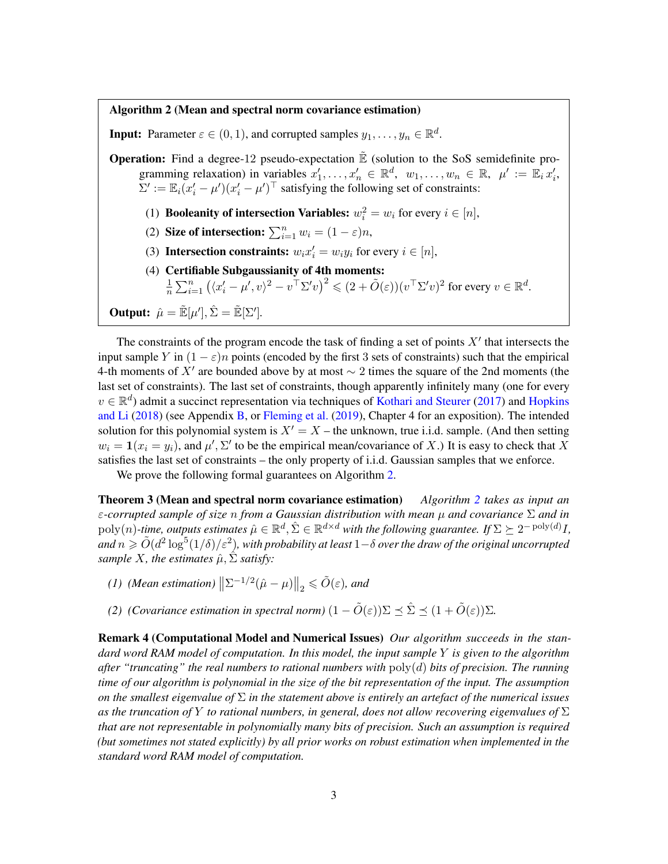#### <span id="page-4-1"></span>Algorithm 2 (Mean and spectral norm covariance estimation)

**Input:** Parameter  $\varepsilon \in (0,1)$ , and corrupted samples  $y_1, \ldots, y_n \in \mathbb{R}^d$ .

**Operation:** Find a degree-12 pseudo-expectation  $\tilde{E}$  (solution to the SoS semidefinite programming relaxation) in variables  $x'_1, \ldots, x'_n \in \mathbb{R}^d$ ,  $w_1, \ldots, w_n \in \mathbb{R}$ ,  $\mu' := \mathbb{E}_i x'_i$ ,  $\Sigma' := \mathbb{E}_i (x_i' - \mu') (x_i' - \mu')^\top$  satisfying the following set of constraints:

- (1) **Booleanity of intersection Variables:**  $w_i^2 = w_i$  for every  $i \in [n]$ ,
- (2) Size of intersection:  $\sum_{i=1}^{n} w_i = (1 \varepsilon)n$ ,
- (3) Intersection constraints:  $w_i x'_i = w_i y_i$  for every  $i \in [n]$ ,
- (4) Certifiable Subgaussianity of 4th moments:
	- 1  $\frac{1}{n}\sum_{i=1}^n\left(\langle x_i'-\mu',v\rangle^2-v^\top\Sigma'v\right)^2\leqslant (2+\tilde O(\varepsilon))(v^\top\Sigma'v)^2$  for every  $v\in\mathbb{R}^d$ .

**Output:** 
$$
\hat{\mu} = \tilde{\mathbb{E}}[\mu'], \hat{\Sigma} = \tilde{\mathbb{E}}[\Sigma']
$$
.

The constraints of the program encode the task of finding a set of points  $X'$  that intersects the input sample Y in  $(1 - \varepsilon)n$  points (encoded by the first 3 sets of constraints) such that the empirical 4-th moments of X' are bounded above by at most  $\sim$  2 times the square of the 2nd moments (the last set of constraints). The last set of constraints, though apparently infinitely many (one for every  $v \in \mathbb{R}^d$ ) admit a succinct representation via techniques of [Kothari and Steurer](#page-22-0) [\(2017\)](#page-22-0) and [Hopkins](#page-22-3) [and Li](#page-22-3) [\(2018\)](#page-22-3) (see Appendix [B,](#page-24-0) or [Fleming et al.](#page-22-10) [\(2019\)](#page-22-10), Chapter 4 for an exposition). The intended solution for this polynomial system is  $X' = X$  – the unknown, true i.i.d. sample. (And then setting  $w_i = \mathbf{1}(x_i = y_i)$ , and  $\mu', \Sigma'$  to be the empirical mean/covariance of X.) It is easy to check that X satisfies the last set of constraints – the only property of i.i.d. Gaussian samples that we enforce.

<span id="page-4-0"></span>We prove the following formal guarantees on Algorithm [2.](#page-4-1)

Theorem 3 (Mean and spectral norm covariance estimation) *Algorithm [2](#page-4-1) takes as input an* ε*-corrupted sample of size* n *from a Gaussian distribution with mean* µ *and covariance* Σ *and in*  $\text{poly}(n)$ -time, outputs estimates  $\hat{\mu} \in \mathbb{R}^d$ ,  $\hat{\Sigma} \in \mathbb{R}^{d \times d}$  with the following guarantee. If  $\Sigma \succeq 2^{-\text{poly}(d)} I$ , and  $n\geqslant \tilde{O}(d^2\log^5(1/\delta)/\varepsilon^2)$ , with probability at least  $1{-}\delta$  over the draw of the original uncorrupted *sample X, the estimates*  $\hat{\mu}$ *,*  $\Sigma$  *satisfy*:

- *(1) (Mean estimation)*  $\left\| \Sigma^{-1/2} (\hat{\mu} \mu) \right\|_2 \leq \tilde{O}(\varepsilon)$ *, and*
- *(2) (Covariance estimation in spectral norm)*  $(1 \tilde{O}(\varepsilon))\Sigma \preceq \hat{\Sigma} \preceq (1 + \tilde{O}(\varepsilon))\Sigma$ .

Remark 4 (Computational Model and Numerical Issues) *Our algorithm succeeds in the standard word RAM model of computation. In this model, the input sample* Y *is given to the algorithm after "truncating" the real numbers to rational numbers with* poly(d) *bits of precision. The running time of our algorithm is polynomial in the size of the bit representation of the input. The assumption on the smallest eigenvalue of* Σ *in the statement above is entirely an artefact of the numerical issues as the truncation of* Y *to rational numbers, in general, does not allow recovering eigenvalues of* Σ *that are not representable in polynomially many bits of precision. Such an assumption is required (but sometimes not stated explicitly) by all prior works on robust estimation when implemented in the standard word RAM model of computation.*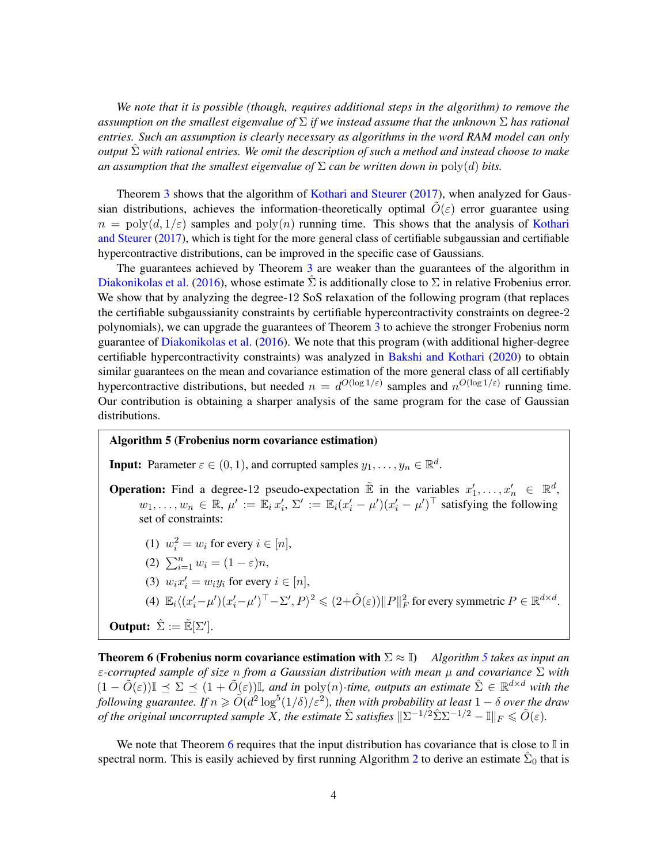*We note that it is possible (though, requires additional steps in the algorithm) to remove the assumption on the smallest eigenvalue of* Σ *if we instead assume that the unknown* Σ *has rational entries. Such an assumption is clearly necessary as algorithms in the word RAM model can only output*  $\hat{\Sigma}$  *with rational entries. We omit the description of such a method and instead choose to make an assumption that the smallest eigenvalue of*  $\Sigma$  *can be written down in*  $\text{poly}(d)$  *bits.* 

Theorem [3](#page-4-0) shows that the algorithm of [Kothari and Steurer](#page-22-0) [\(2017\)](#page-22-0), when analyzed for Gaussian distributions, achieves the information-theoretically optimal  $\tilde{O}(\varepsilon)$  error guarantee using  $n = poly(d, 1/\varepsilon)$  samples and  $poly(n)$  running time. This shows that the analysis of [Kothari](#page-22-0) [and Steurer](#page-22-0) [\(2017\)](#page-22-0), which is tight for the more general class of certifiable subgaussian and certifiable hypercontractive distributions, can be improved in the specific case of Gaussians.

The guarantees achieved by Theorem [3](#page-4-0) are weaker than the guarantees of the algorithm in [Diakonikolas et al.](#page-21-0) [\(2016\)](#page-21-0), whose estimate  $\Sigma$  is additionally close to  $\Sigma$  in relative Frobenius error. We show that by analyzing the degree-12 SoS relaxation of the following program (that replaces the certifiable subgaussianity constraints by certifiable hypercontractivity constraints on degree-2 polynomials), we can upgrade the guarantees of Theorem [3](#page-4-0) to achieve the stronger Frobenius norm guarantee of [Diakonikolas et al.](#page-21-0) [\(2016\)](#page-21-0). We note that this program (with additional higher-degree certifiable hypercontractivity constraints) was analyzed in [Bakshi and Kothari](#page-21-1) [\(2020\)](#page-21-1) to obtain similar guarantees on the mean and covariance estimation of the more general class of all certifiably hypercontractive distributions, but needed  $n = d^{O(\log 1/\varepsilon)}$  samples and  $n^{O(\log 1/\varepsilon)}$  running time. Our contribution is obtaining a sharper analysis of the same program for the case of Gaussian distributions.

#### <span id="page-5-1"></span>Algorithm 5 (Frobenius norm covariance estimation)

**Input:** Parameter  $\varepsilon \in (0,1)$ , and corrupted samples  $y_1, \ldots, y_n \in \mathbb{R}^d$ .

- **Operation:** Find a degree-12 pseudo-expectation  $\tilde{\mathbb{E}}$  in the variables  $x'_1, \ldots, x'_n \in \mathbb{R}^d$ ,  $w_1, \ldots, w_n \in \mathbb{R}, \mu' := \mathbb{E}_i x_i', \Sigma' := \mathbb{E}_i (x_i' - \mu') (x_i' - \mu')^\top$  satisfying the following set of constraints:
	- (1)  $w_i^2 = w_i$  for every  $i \in [n]$ ,
	- (2)  $\sum_{i=1}^{n} w_i = (1 \varepsilon)n$ ,
	- (3)  $w_i x'_i = w_i y_i$  for every  $i \in [n]$ ,
	- (4)  $\mathbb{E}_i \langle (x_i'-\mu') (x_i'-\mu')^\top \Sigma', P \rangle^2 \leq (2+\tilde{O}(\varepsilon)) \|P\|_F^2$  for every symmetric  $P \in \mathbb{R}^{d \times d}$ .

**Output:**  $\hat{\Sigma} := \tilde{\mathbb{E}}[\Sigma']$ .

<span id="page-5-0"></span>Theorem 6 (Frobenius norm covariance estimation with Σ ≈ I) *Algorithm [5](#page-5-1) takes as input an* ε*-corrupted sample of size* n *from a Gaussian distribution with mean* µ *and covariance* Σ *with*  $(1 - \tilde{O}(\varepsilon))\mathbb{I} \preceq \Sigma \preceq (1 + \tilde{O}(\varepsilon))\mathbb{I}$ , and in poly(n)-time, outputs an estimate  $\hat{\Sigma} \in \mathbb{R}^{d \times d}$  with the  $\tilde{f}$ ollowing guarantee. If  $n \geqslant \tilde{O}(d^2\log^5(1/\delta)/\varepsilon^2)$ , then with probability at least  $1-\delta$  over the draw *of the original uncorrupted sample* X, the estimate  $\hat{\Sigma}$  *satisfies*  $\|\Sigma^{-1/2}\hat{\Sigma}\Sigma^{-1/2} - \mathbb{I}\|_F \leq \tilde{O}(\varepsilon)$ .

We note that Theorem [6](#page-5-0) requires that the input distribution has covariance that is close to  $\mathbb I$  in spectral norm. This is easily achieved by first running Algorithm [2](#page-4-1) to derive an estimate  $\hat{\Sigma}_0$  that is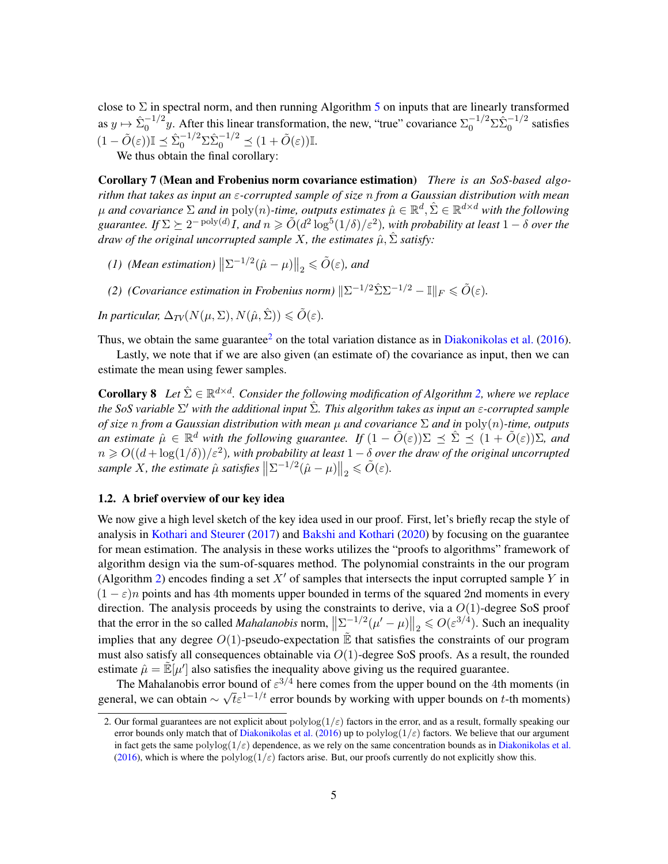close to  $\Sigma$  in spectral norm, and then running Algorithm [5](#page-5-1) on inputs that are linearly transformed as  $y \mapsto \hat{\Sigma}_0^{-1/2} y$ . After this linear transformation, the new, "true" covariance  $\Sigma_0^{-1/2} \Sigma \hat{\Sigma}_0^{-1/2}$  satisfies  $(1 - \tilde{O}(\varepsilon)) \mathbb{I} \preceq \hat{\Sigma}_0^{-1/2} \Sigma \hat{\Sigma}_0^{-1/2} \preceq (1 + \tilde{O}(\varepsilon)) \mathbb{I}.$ 

<span id="page-6-1"></span>We thus obtain the final corollary:

Corollary 7 (Mean and Frobenius norm covariance estimation) *There is an SoS-based algorithm that takes as input an* ε*-corrupted sample of size* n *from a Gaussian distribution with mean*  $\mu$  and covariance  $\Sigma$  and in  $\mathrm{poly}(n)$ -time, outputs estimates  $\hat{\mu} \in \mathbb{R}^d, \hat{\Sigma} \in \mathbb{R}^{d \times d}$  with the following  $guarantee.$  If  $\Sigma \succeq 2^{-\text{poly}(d)}I$ , and  $n \geqslant \tilde O(d^2\log^5(1/\delta)/\varepsilon^2)$ , with probability at least  $1-\delta$  over the *draw of the original uncorrupted sample* X, the estimates  $\hat{\mu}$ ,  $\hat{\Sigma}$  *satisfy:* 

- *(1) (Mean estimation)*  $\left\| \Sigma^{-1/2} (\hat{\mu} \mu) \right\|_2 \leq \tilde{O}(\varepsilon)$ *, and*
- *(2) (Covariance estimation in Frobenius norm)*  $\|\Sigma^{-1/2}\hat{\Sigma}\Sigma^{-1/2} \mathbb{I}\|_F \leq \tilde{O}(\varepsilon)$ .

*In particular,*  $\Delta_{TV}(N(\mu, \Sigma), N(\hat{\mu}, \hat{\Sigma})) \le \tilde{O}(\varepsilon)$ .

Thus, we obtain the same guarantee<sup>[2](#page-6-2)</sup> on the total variation distance as in [Diakonikolas et al.](#page-21-0) [\(2016\)](#page-21-0).

<span id="page-6-3"></span>Lastly, we note that if we are also given (an estimate of) the covariance as input, then we can estimate the mean using fewer samples.

**Corollary 8** Let  $\hat{\Sigma} \in \mathbb{R}^{d \times d}$ . Consider the following modification of Algorithm [2,](#page-4-1) where we replace *the SoS variable*  $\Sigma'$  with the additional input  $\hat{\Sigma}$ . This algorithm takes as input an ε-corrupted sample *of size* n *from a Gaussian distribution with mean* µ *and covariance* Σ *and in* poly(n)*-time, outputs* an estimate  $\hat{\mu} \in \mathbb{R}^d$  with the following guarantee. If  $(1 - \tilde{O}(\varepsilon))\Sigma \preceq \hat{\Sigma} \preceq (1 + \tilde{O}(\varepsilon))\Sigma$ , and  $n \geq O((d + \log(1/\delta))/\varepsilon^2)$ , with probability at least  $1-\delta$  over the draw of the original uncorrupted  $\text{sample } X, \text{ the estimate } \hat{\mu} \text{ satisfies } \left\| \Sigma^{-1/2}(\hat{\mu} - \mu) \right\|_2 \leq \tilde{O}(\varepsilon).$ 

# <span id="page-6-0"></span>1.2. A brief overview of our key idea

We now give a high level sketch of the key idea used in our proof. First, let's briefly recap the style of analysis in [Kothari and Steurer](#page-22-0) [\(2017\)](#page-22-0) and [Bakshi and Kothari](#page-21-1) [\(2020\)](#page-21-1) by focusing on the guarantee for mean estimation. The analysis in these works utilizes the "proofs to algorithms" framework of algorithm design via the sum-of-squares method. The polynomial constraints in the our program (Algorithm [2\)](#page-4-1) encodes finding a set X' of samples that intersects the input corrupted sample Y in  $(1 - \varepsilon)n$  points and has 4th moments upper bounded in terms of the squared 2nd moments in every direction. The analysis proceeds by using the constraints to derive, via a  $O(1)$ -degree SoS proof that the error in the so called *Mahalanobis* norm,  $\left\|\sum_{\alpha}^{-1/2}(\mu'-\mu)\right\|_2 \le O(\varepsilon^{3/4})$ . Such an inequality implies that any degree  $O(1)$ -pseudo-expectation  $\mathbb{\ddot{E}}$  that satisfies the constraints of our program must also satisfy all consequences obtainable via  $O(1)$ -degree SoS proofs. As a result, the rounded estimate  $\hat{\mu} = \mathbb{E}[\mu']$  also satisfies the inequality above giving us the required guarantee.

The Mahalanobis error bound of  $\varepsilon^{3/4}$  here comes from the upper bound on the 4th moments (in general, we can obtain  $\sim \sqrt{t} \varepsilon^{1-1/t}$  error bounds by working with upper bounds on t-th moments)

<span id="page-6-2"></span><sup>2.</sup> Our formal guarantees are not explicit about  $polylog(1/\varepsilon)$  factors in the error, and as a result, formally speaking our error bounds only match that of [Diakonikolas et al.](#page-21-0) [\(2016\)](#page-21-0) up to polylog( $1/\varepsilon$ ) factors. We believe that our argument in fact gets the same polylog( $1/\varepsilon$ ) dependence, as we rely on the same concentration bounds as in [Diakonikolas et al.](#page-21-0) [\(2016\)](#page-21-0), which is where the polylog( $1/\varepsilon$ ) factors arise. But, our proofs currently do not explicitly show this.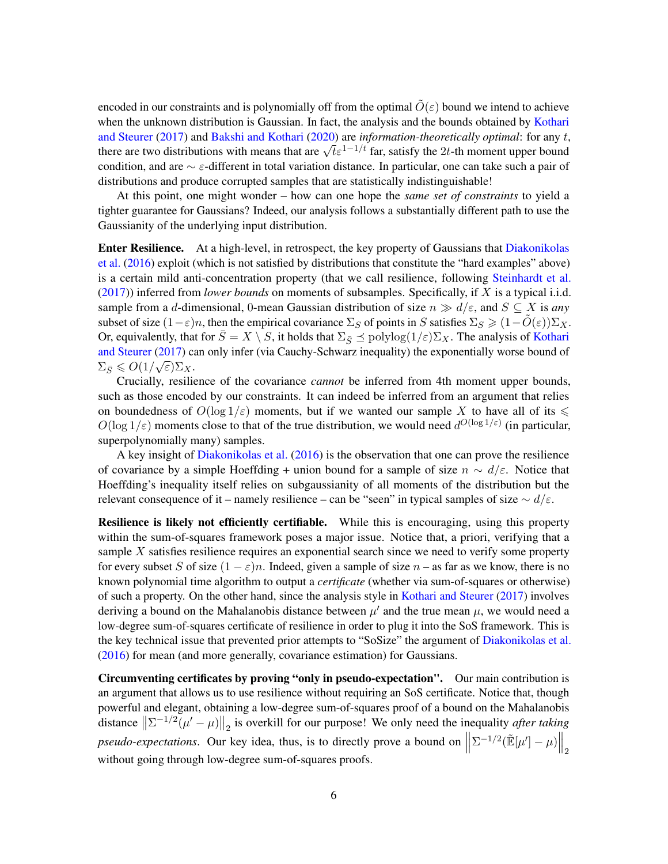encoded in our constraints and is polynomially off from the optimal  $\tilde{O}(\varepsilon)$  bound we intend to achieve when the unknown distribution is Gaussian. In fact, the analysis and the bounds obtained by [Kothari](#page-22-0) [and Steurer](#page-22-0) [\(2017\)](#page-22-0) and [Bakshi and Kothari](#page-21-1) [\(2020\)](#page-21-1) are *information-theoretically optimal*: for any t, and steurer (2017) and Bakshi and Kothari (2020) are *information-ineoretically optimal*: for any  $t_1$ , there are two distributions with means that are  $\sqrt{t} \varepsilon^{1-1/t}$  far, satisfy the 2t-th moment upper bound condition, and are  $\sim \varepsilon$ -different in total variation distance. In particular, one can take such a pair of distributions and produce corrupted samples that are statistically indistinguishable!

At this point, one might wonder – how can one hope the *same set of constraints* to yield a tighter guarantee for Gaussians? Indeed, our analysis follows a substantially different path to use the Gaussianity of the underlying input distribution.

Enter Resilience. At a high-level, in retrospect, the key property of Gaussians that [Diakonikolas](#page-21-0) [et al.](#page-21-0) [\(2016\)](#page-21-0) exploit (which is not satisfied by distributions that constitute the "hard examples" above) is a certain mild anti-concentration property (that we call resilience, following [Steinhardt et al.](#page-22-11) [\(2017\)](#page-22-11)) inferred from *lower bounds* on moments of subsamples. Specifically, if X is a typical i.i.d. sample from a d-dimensional, 0-mean Gaussian distribution of size  $n \gg d/\varepsilon$ , and  $S \subseteq X$  is *any* subset of size  $(1-\varepsilon)n$ , then the empirical covariance  $\Sigma_S$  of points in S satisfies  $\Sigma_S \geq (1-\tilde{O}(\varepsilon))\Sigma_X$ . Or, equivalently, that for  $\overline{S} = X \setminus S$ , it holds that  $\Sigma_{\overline{S}} \preceq \text{polylog}(1/\varepsilon) \Sigma_X$ . The analysis of [Kothari](#page-22-0) [and Steurer](#page-22-0) [\(2017\)](#page-22-0) can only infer (via Cauchy-Schwarz inequality) the exponentially worse bound of  $\Sigma_{\bar{S}} \leqslant O(1/\sqrt{\varepsilon})\Sigma_X.$ 

Crucially, resilience of the covariance *cannot* be inferred from 4th moment upper bounds, such as those encoded by our constraints. It can indeed be inferred from an argument that relies on boundedness of  $O(\log 1/\varepsilon)$  moments, but if we wanted our sample X to have all of its  $\leq$  $O(\log 1/\varepsilon)$  moments close to that of the true distribution, we would need  $d^{O(\log 1/\varepsilon)}$  (in particular, superpolynomially many) samples.

A key insight of [Diakonikolas et al.](#page-21-0) [\(2016\)](#page-21-0) is the observation that one can prove the resilience of covariance by a simple Hoeffding + union bound for a sample of size  $n \sim d/\epsilon$ . Notice that Hoeffding's inequality itself relies on subgaussianity of all moments of the distribution but the relevant consequence of it – namely resilience – can be "seen" in typical samples of size  $\sim d/\epsilon$ .

Resilience is likely not efficiently certifiable. While this is encouraging, using this property within the sum-of-squares framework poses a major issue. Notice that, a priori, verifying that a sample  $X$  satisfies resilience requires an exponential search since we need to verify some property for every subset S of size  $(1 - \varepsilon)n$ . Indeed, given a sample of size  $n -$  as far as we know, there is no known polynomial time algorithm to output a *certificate* (whether via sum-of-squares or otherwise) of such a property. On the other hand, since the analysis style in [Kothari and Steurer](#page-22-0) [\(2017\)](#page-22-0) involves deriving a bound on the Mahalanobis distance between  $\mu'$  and the true mean  $\mu$ , we would need a low-degree sum-of-squares certificate of resilience in order to plug it into the SoS framework. This is the key technical issue that prevented prior attempts to "SoSize" the argument of [Diakonikolas et al.](#page-21-0) [\(2016\)](#page-21-0) for mean (and more generally, covariance estimation) for Gaussians.

Circumventing certificates by proving "only in pseudo-expectation". Our main contribution is an argument that allows us to use resilience without requiring an SoS certificate. Notice that, though powerful and elegant, obtaining a low-degree sum-of-squares proof of a bound on the Mahalanobis distance  $\left\| \Sigma^{-1/2}(\mu' - \mu) \right\|_2$  is overkill for our purpose! We only need the inequality *after taking pseudo-expectations*. Our key idea, thus, is to directly prove a bound on  $\parallel$  $\Sigma^{-1/2}(\tilde{\mathbb{E}}[\mu'] - \mu)\Big\|_2$ without going through low-degree sum-of-squares proofs.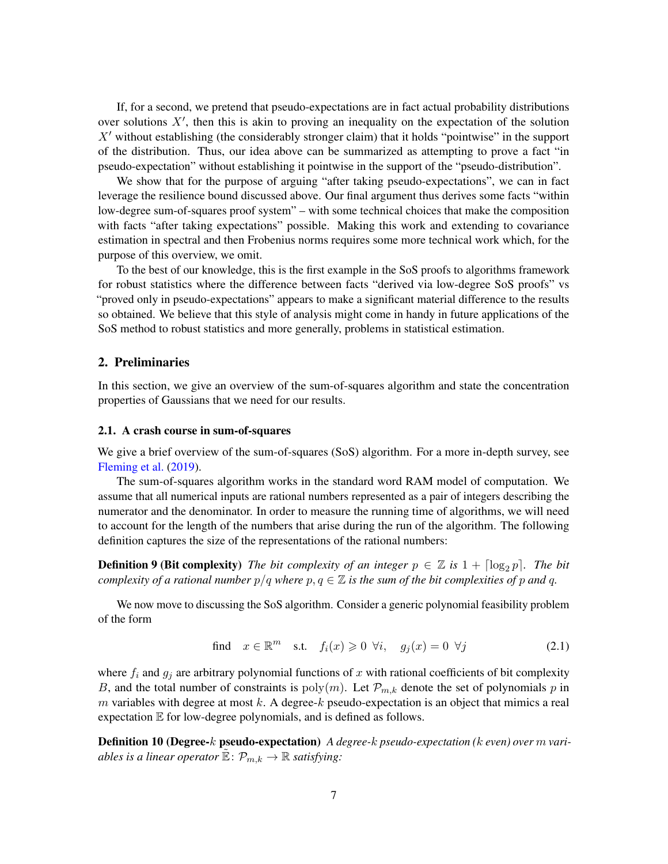If, for a second, we pretend that pseudo-expectations are in fact actual probability distributions over solutions  $X'$ , then this is akin to proving an inequality on the expectation of the solution  $X'$  without establishing (the considerably stronger claim) that it holds "pointwise" in the support of the distribution. Thus, our idea above can be summarized as attempting to prove a fact "in pseudo-expectation" without establishing it pointwise in the support of the "pseudo-distribution".

We show that for the purpose of arguing "after taking pseudo-expectations", we can in fact leverage the resilience bound discussed above. Our final argument thus derives some facts "within low-degree sum-of-squares proof system" – with some technical choices that make the composition with facts "after taking expectations" possible. Making this work and extending to covariance estimation in spectral and then Frobenius norms requires some more technical work which, for the purpose of this overview, we omit.

To the best of our knowledge, this is the first example in the SoS proofs to algorithms framework for robust statistics where the difference between facts "derived via low-degree SoS proofs" vs "proved only in pseudo-expectations" appears to make a significant material difference to the results so obtained. We believe that this style of analysis might come in handy in future applications of the SoS method to robust statistics and more generally, problems in statistical estimation.

# <span id="page-8-0"></span>2. Preliminaries

In this section, we give an overview of the sum-of-squares algorithm and state the concentration properties of Gaussians that we need for our results.

# <span id="page-8-1"></span>2.1. A crash course in sum-of-squares

We give a brief overview of the sum-of-squares (SoS) algorithm. For a more in-depth survey, see [Fleming et al.](#page-22-10) [\(2019\)](#page-22-10).

The sum-of-squares algorithm works in the standard word RAM model of computation. We assume that all numerical inputs are rational numbers represented as a pair of integers describing the numerator and the denominator. In order to measure the running time of algorithms, we will need to account for the length of the numbers that arise during the run of the algorithm. The following definition captures the size of the representations of the rational numbers:

**Definition 9 (Bit complexity)** *The bit complexity of an integer*  $p \in \mathbb{Z}$  *is*  $1 + \lceil \log_2 p \rceil$ *. The bit complexity of a rational number*  $p/q$  *where*  $p, q \in \mathbb{Z}$  *is the sum of the bit complexities of* p *and* q.

We now move to discussing the SoS algorithm. Consider a generic polynomial feasibility problem of the form

<span id="page-8-2"></span>find 
$$
x \in \mathbb{R}^m
$$
 s.t.  $f_i(x) \ge 0 \ \forall i, \quad g_j(x) = 0 \ \forall j$  (2.1)

where  $f_i$  and  $g_j$  are arbitrary polynomial functions of x with rational coefficients of bit complexity B, and the total number of constraints is  $poly(m)$ . Let  $\mathcal{P}_{m,k}$  denote the set of polynomials p in m variables with degree at most k. A degree-k pseudo-expectation is an object that mimics a real expectation  $E$  for low-degree polynomials, and is defined as follows.

Definition 10 (Degree-k pseudo-expectation) *A degree-*k *pseudo-expectation (*k *even) over* m *variables is a linear operator*  $\mathbb{E} \colon \mathcal{P}_{m,k} \to \mathbb{R}$  *satisfying*: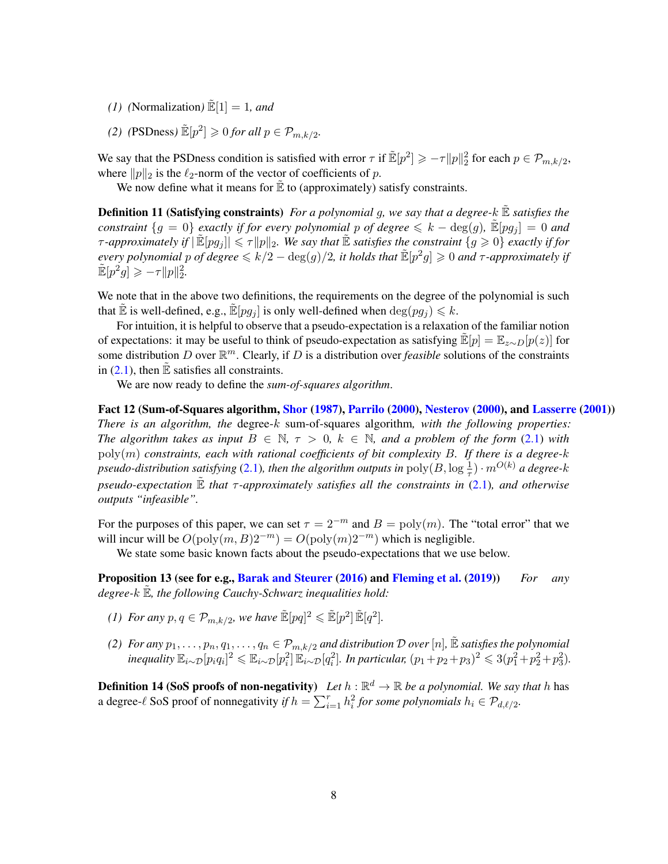- *(1) (Normalization)*  $\mathbb{E}[1] = 1$ *, and*
- (2) (PSDness)  $\mathbb{E}[p^2] \geq 0$  *for all*  $p \in \mathcal{P}_{m,k/2}$ .

We say that the PSDness condition is satisfied with error  $\tau$  if  $\mathbb{E}[p^2] \geq -\tau ||p||_2^2$  for each  $p \in \mathcal{P}_{m,k/2}$ , where  $||p||_2$  is the  $\ell_2$ -norm of the vector of coefficients of p.

We now define what it means for  $\mathbb E$  to (approximately) satisfy constraints.

**Definition 11 (Satisfying constraints)** *For a polynomial q, we say that a degree-k*  $\mathbb E$  *satisfies the constraint*  ${g = 0}$  *exactly if for every polynomial p of degree*  $\le k - \deg(g)$ ,  $\mathbb{E}[pg_i] = 0$  *and*  $\tau$ -approximately if  $|\tilde{\mathbb{E}}[pg_j]| \leq \tau ||p||_2$ . We say that  $\tilde{\mathbb{E}}$  *satisfies the constraint*  $\{g \geq 0\}$  *exactly if for every polynomial p of degree*  $\le k/2 - \deg(g)/2$ , *it holds that*  $\mathbb{E}[p^2g] \ge 0$  *and*  $\tau$ -approximately if  $\mathbb{E}[p^2 g] \geqslant -\tau \|p\|_2^2.$ 

We note that in the above two definitions, the requirements on the degree of the polynomial is such that E is well-defined, e.g.,  $\mathbb{E}[pg_i]$  is only well-defined when  $\deg(pg_i) \leq k$ .

For intuition, it is helpful to observe that a pseudo-expectation is a relaxation of the familiar notion of expectations: it may be useful to think of pseudo-expectation as satisfying  $\mathbb{E}[p] = \mathbb{E}_{z \sim D}[p(z)]$  for some distribution D over  $\mathbb{R}^m$ . Clearly, if D is a distribution over *feasible* solutions of the constraints in  $(2.1)$ , then  $\mathbb E$  satisfies all constraints.

We are now ready to define the *sum-of-squares algorithm*.

Fact 12 (Sum-of-Squares algorithm, [Shor](#page-22-12) [\(1987\)](#page-22-12), [Parrilo](#page-22-13) [\(2000\)](#page-22-13), [Nesterov](#page-22-14) [\(2000\)](#page-22-14), and [Lasserre](#page-22-15) [\(2001\)](#page-22-15)) *There is an algorithm, the* degree-k sum-of-squares algorithm*, with the following properties: The algorithm takes as input*  $B \in \mathbb{N}$ ,  $\tau > 0$ ,  $k \in \mathbb{N}$ , and a problem of the form [\(2.1\)](#page-8-2) with poly(m) *constraints, each with rational coefficients of bit complexity* B*. If there is a degree-*k *pseudo-distribution satisfying* [\(2.1\)](#page-8-2), then the algorithm outputs in  $\text{poly}(B, \log \frac{1}{\tau}) \cdot m^{O(k)}$  a degree-k *pseudo-expectation* E˜ *that* τ *-approximately satisfies all the constraints in* [\(2.1\)](#page-8-2)*, and otherwise outputs "infeasible".*

For the purposes of this paper, we can set  $\tau = 2^{-m}$  and  $B = \text{poly}(m)$ . The "total error" that we will incur will be  $O(poly(m, B)2^{-m}) = O(poly(m)2^{-m})$  which is negligible.

<span id="page-9-1"></span>We state some basic known facts about the pseudo-expectations that we use below.

Proposition 13 (see for e.g., [Barak and Steurer](#page-21-7) [\(2016\)](#page-21-7) and [Fleming et al.](#page-22-10) [\(2019\)](#page-22-10)) *For any* degree-k  $\mathbb{E}$ *, the following Cauchy-Schwarz inequalities hold:* 

- *(1)* For any  $p, q \in \mathcal{P}_{m, k/2}$ , we have  $\mathbb{E}[pq]^2 \leqslant \mathbb{E}[p^2] \mathbb{E}[q^2]$ .
- *(2) For any*  $p_1, \ldots, p_n, q_1, \ldots, q_n \in P_{m,k/2}$  *and distribution*  $D$  *over*  $[n]$ *,*  $\mathbb{\tilde{E}}$  *satisfies the polynomial*  $\alpha$ *inequality*  $\mathbb{E}_{i \sim \mathcal{D}}[p_i q_i]^2 \leqslant \mathbb{E}_{i \sim \mathcal{D}}[p_i^2] \mathbb{E}_{i \sim \mathcal{D}}[q_i^2]$ . In particular,  $(p_1 + p_2 + p_3)^2 \leqslant 3(p_1^2 + p_2^2 + p_3^2)$ .

<span id="page-9-0"></span>**Definition 14 (SoS proofs of non-negativity)** Let  $h : \mathbb{R}^d \to \mathbb{R}$  be a polynomial. We say that h has a degree- $\ell$  SoS proof of nonnegativity *if*  $h = \sum_{i=1}^{r} h_i^2$  *for some polynomials*  $h_i \in \mathcal{P}_{d,\ell/2}$ *.*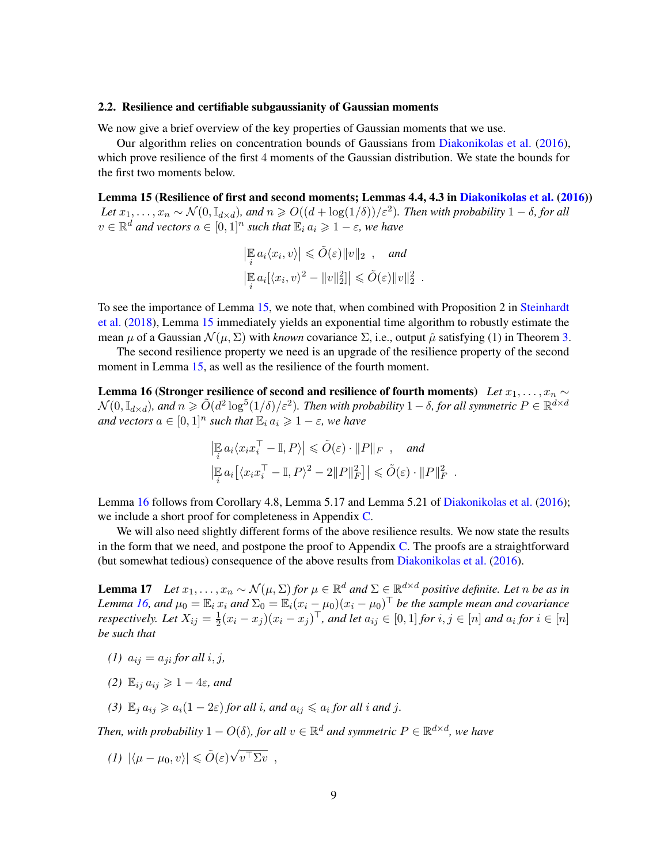## <span id="page-10-0"></span>2.2. Resilience and certifiable subgaussianity of Gaussian moments

We now give a brief overview of the key properties of Gaussian moments that we use.

Our algorithm relies on concentration bounds of Gaussians from [Diakonikolas et al.](#page-21-0) [\(2016\)](#page-21-0), which prove resilience of the first 4 moments of the Gaussian distribution. We state the bounds for the first two moments below.

Lemma 15 (Resilience of first and second moments; Lemmas 4.4, 4.3 in [Diakonikolas et al.](#page-21-0) [\(2016\)](#page-21-0)) Let  $x_1, \ldots, x_n \sim \mathcal{N}(0, \mathbb{I}_{d \times d})$ *, and*  $n \geqslant O((d + \log(1/\delta))/\varepsilon^2)$ *. Then with probability*  $1 - \delta$ *, for all*  $v \in \mathbb{R}^d$  and vectors  $a \in [0,1]^n$  such that  $\mathbb{E}_i a_i \geq 1 - \varepsilon$ , we have

<span id="page-10-1"></span>.

<span id="page-10-3"></span>
$$
\left|\mathbb{E}_i a_i \langle x_i, v \rangle\right| \leq \tilde{O}(\varepsilon) \|v\|_2 , \quad \text{and}
$$
  

$$
\left|\mathbb{E}_i a_i [\langle x_i, v \rangle^2 - \|v\|_2^2] \right| \leq \tilde{O}(\varepsilon) \|v\|_2^2
$$

To see the importance of Lemma [15,](#page-10-3) we note that, when combined with Proposition 2 in [Steinhardt](#page-23-1) [et al.](#page-23-1) [\(2018\)](#page-23-1), Lemma [15](#page-10-3) immediately yields an exponential time algorithm to robustly estimate the mean  $\mu$  of a Gaussian  $\mathcal{N}(\mu, \Sigma)$  with *known* covariance  $\Sigma$ , i.e., output  $\hat{\mu}$  satisfying (1) in Theorem [3.](#page-4-0)

The second resilience property we need is an upgrade of the resilience property of the second moment in Lemma [15,](#page-10-3) as well as the resilience of the fourth moment.

Lemma 16 (Stronger resilience of second and resilience of fourth moments) *Let*  $x_1, \ldots, x_n \sim$  $\mathcal{N}(0,\mathbb{I}_{d\times d})$ , and  $n\geqslant \tilde{O}(d^2\log^5(1/\delta)/\varepsilon^2)$ . Then with probability  $1-\delta$ , for all symmetric  $P\in\mathbb{R}^{d\times d}$ *and vectors*  $a \in [0,1]^n$  *such that*  $\mathbb{E}_i a_i \geq 1 - \varepsilon$ *, we have* 

$$
\left|\mathbb{E}_{i} a_{i} \langle x_{i} x_{i}^{\top} - \mathbb{I}, P \rangle\right| \leq \tilde{O}(\varepsilon) \cdot ||P||_{F} , \text{ and}
$$
  

$$
\left|\mathbb{E}_{i} a_{i} \left[\langle x_{i} x_{i}^{\top} - \mathbb{I}, P \rangle^{2} - 2||P||_{F}^{2}\right] \right| \leq \tilde{O}(\varepsilon) \cdot ||P||_{F}^{2} .
$$

Lemma [16](#page-10-1) follows from Corollary 4.8, Lemma 5.17 and Lemma 5.21 of [Diakonikolas et al.](#page-21-0) [\(2016\)](#page-21-0); we include a short proof for completeness in Appendix [C.](#page-24-1)

We will also need slightly different forms of the above resilience results. We now state the results in the form that we need, and postpone the proof to Appendix [C.](#page-24-1) The proofs are a straightforward (but somewhat tedious) consequence of the above results from [Diakonikolas et al.](#page-21-0) [\(2016\)](#page-21-0).

<span id="page-10-2"></span>**Lemma 17** *Let*  $x_1, \ldots, x_n$  ∼  $\mathcal{N}(\mu, \Sigma)$  *for*  $\mu \in \mathbb{R}^d$  *and*  $\Sigma \in \mathbb{R}^{d \times d}$  *positive definite. Let n be as in Lemma* [16,](#page-10-1) and  $\mu_0 = \mathbb{E}_i x_i$  and  $\Sigma_0 = \mathbb{E}_i (x_i - \mu_0)(x_i - \mu_0)^\top$  be the sample mean and covariance *respectively.* Let  $X_{ij} = \frac{1}{2}$  $\frac{1}{2}(x_i - x_j)(x_i - x_j)^\top$ , and let  $a_{ij} \in [0,1]$  for  $i, j \in [n]$  and  $a_i$  for  $i \in [n]$ *be such that*

- *(1)*  $a_{ij} = a_{ji}$  *for all i*, *j*,
- *(2)*  $\mathbb{E}_{ij} a_{ij} \geq 1 4\varepsilon$ *, and*
- (3)  $\mathbb{E}_j a_{ij} \geq a_i (1 2\varepsilon)$  *for all i*, *and*  $a_{ij} \leq a_i$  *for all i and j*.

Then, with probability  $1 - O(\delta)$ , for all  $v \in \mathbb{R}^d$  and symmetric  $P \in \mathbb{R}^{d \times d}$ , we have

$$
(1) \ |\langle \mu - \mu_0, v \rangle| \leq \tilde{O}(\varepsilon) \sqrt{v^{\top} \Sigma v} \ ,
$$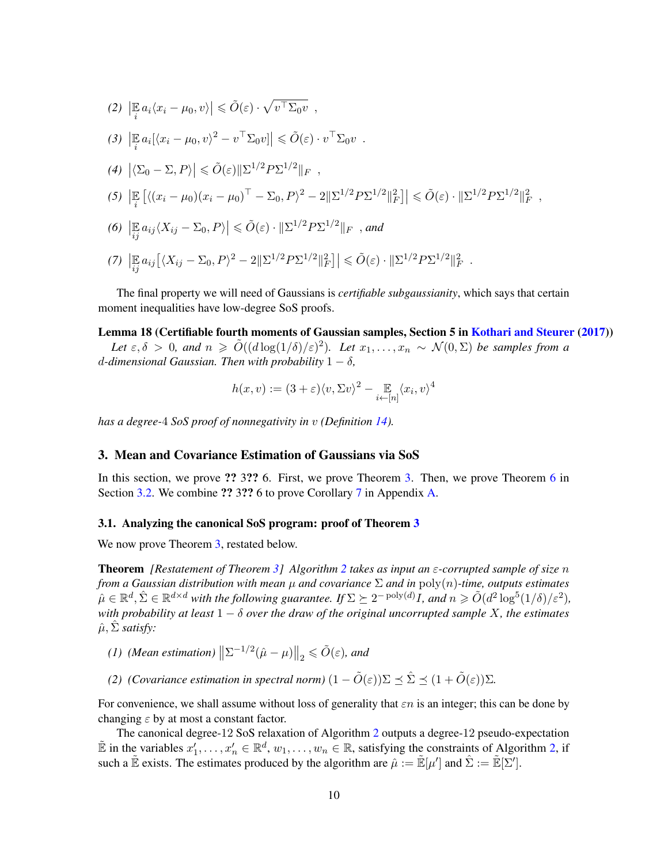(2) 
$$
\left| \mathbb{E}_i a_i \langle x_i - \mu_0, v \rangle \right| \leq \tilde{O}(\varepsilon) \cdot \sqrt{v^{\top} \Sigma_0 v} ,
$$
  
\n(3) 
$$
\left| \mathbb{E}_i a_i [\langle x_i - \mu_0, v \rangle^2 - v^{\top} \Sigma_0 v] \right| \leq \tilde{O}(\varepsilon) \cdot v^{\top} \Sigma_0 v .
$$
  
\n(4) 
$$
\left| \langle \Sigma_0 - \Sigma, P \rangle \right| \leq \tilde{O}(\varepsilon) \|\Sigma^{1/2} P \Sigma^{1/2}\|_F ,
$$
  
\n(5) 
$$
\left| \mathbb{E}_i [ \langle (x_i - \mu_0)(x_i - \mu_0)^{\top} - \Sigma_0, P \rangle^2 - 2 \|\Sigma^{1/2} P \Sigma^{1/2}\|_F^2] \right| \leq \tilde{O}(\varepsilon) \cdot \|\Sigma^{1/2} P \Sigma^{1/2}\|_F^2 ,
$$
  
\n(6) 
$$
\left| \mathbb{E}_i a_{ij} \langle X_{ij} - \Sigma_0, P \rangle \right| \leq \tilde{O}(\varepsilon) \cdot \|\Sigma^{1/2} P \Sigma^{1/2}\|_F , and
$$
  
\n(7) 
$$
\left| \mathbb{E}_i a_{ij} [\langle X_{ij} - \Sigma_0, P \rangle^2 - 2 \|\Sigma^{1/2} P \Sigma^{1/2}\|_F^2] \right| \leq \tilde{O}(\varepsilon) \cdot \|\Sigma^{1/2} P \Sigma^{1/2}\|_F^2 .
$$

The final property we will need of Gaussians is *certifiable subgaussianity*, which says that certain moment inequalities have low-degree SoS proofs.

## Lemma 18 (Certifiable fourth moments of Gaussian samples, Section 5 in [Kothari and Steurer](#page-22-0) [\(2017\)](#page-22-0))

Let  $\varepsilon, \delta > 0$ , and  $n \ge \tilde{O}((d \log(1/\delta)/\varepsilon)^2)$ . Let  $x_1, \ldots, x_n \sim \mathcal{N}(0, \Sigma)$  be samples from a d-dimensional Gaussian. Then with probability  $1 - \delta$ ,

<span id="page-11-2"></span>
$$
h(x, v) := (3 + \varepsilon) \langle v, \Sigma v \rangle^{2} - \mathop{\mathbb{E}}_{i \leftarrow [n]} \langle x_{i}, v \rangle^{4}
$$

*has a degree-*4 *SoS proof of nonnegativity in* v *(Definition [14\)](#page-9-0).*

# <span id="page-11-0"></span>3. Mean and Covariance Estimation of Gaussians via SoS

In this section, we prove ?? 3?? 6. First, we prove Theorem [3.](#page-4-0) Then, we prove Theorem [6](#page-5-0) in Section [3.2.](#page-16-0) We combine ?? 3?? 6 to prove Corollary [7](#page-6-1) in Appendix [A.](#page-23-0)

#### <span id="page-11-1"></span>3.1. Analyzing the canonical SoS program: proof of Theorem [3](#page-4-0)

We now prove Theorem [3,](#page-4-0) restated below.

Theorem *[Restatement of Theorem [3\]](#page-4-0) Algorithm [2](#page-4-1) takes as input an* ε*-corrupted sample of size* n *from a Gaussian distribution with mean*  $\mu$  *and covariance*  $\Sigma$  *and in*  $\text{poly}(n)$ *-time, outputs estimates*  $\hat{\mu} \in \mathbb{R}^d$ ,  $\hat{\Sigma} \in \mathbb{R}^{d \times d}$  with the following guarantee. If  $\Sigma \succeq 2^{-\text{poly}(d)} I$ , and  $n \geq \tilde{O}(d^2 \log^5(1/\delta)/\varepsilon^2)$ , *with probability at least* 1 − δ *over the draw of the original uncorrupted sample* X*, the estimates*  $\hat{\mu}$ ,  $\hat{\Sigma}$  *satisfy:* 

- *(1) (Mean estimation)*  $\left\| \Sigma^{-1/2} (\hat{\mu} \mu) \right\|_2 \leq \tilde{O}(\varepsilon)$ *, and*
- *(2) (Covariance estimation in spectral norm)*  $(1 \tilde{O}(\varepsilon))\Sigma \preceq \hat{\Sigma} \preceq (1 + \tilde{O}(\varepsilon))\Sigma$ .

For convenience, we shall assume without loss of generality that  $\epsilon n$  is an integer; this can be done by changing  $\varepsilon$  by at most a constant factor.

The canonical degree-12 SoS relaxation of Algorithm [2](#page-4-1) outputs a degree-12 pseudo-expectation  $\mathbb{E}$  in the variables  $x'_1, \ldots, x'_n \in \mathbb{R}^d$ ,  $w_1, \ldots, w_n \in \mathbb{R}$ , satisfying the constraints of Algorithm [2,](#page-4-1) if such a  $\mathbb{\tilde{E}}$  exists. The estimates produced by the algorithm are  $\hat{\mu} := \mathbb{\tilde{E}}[\mu']$  and  $\hat{\Sigma} := \mathbb{\tilde{E}}[\Sigma']$ .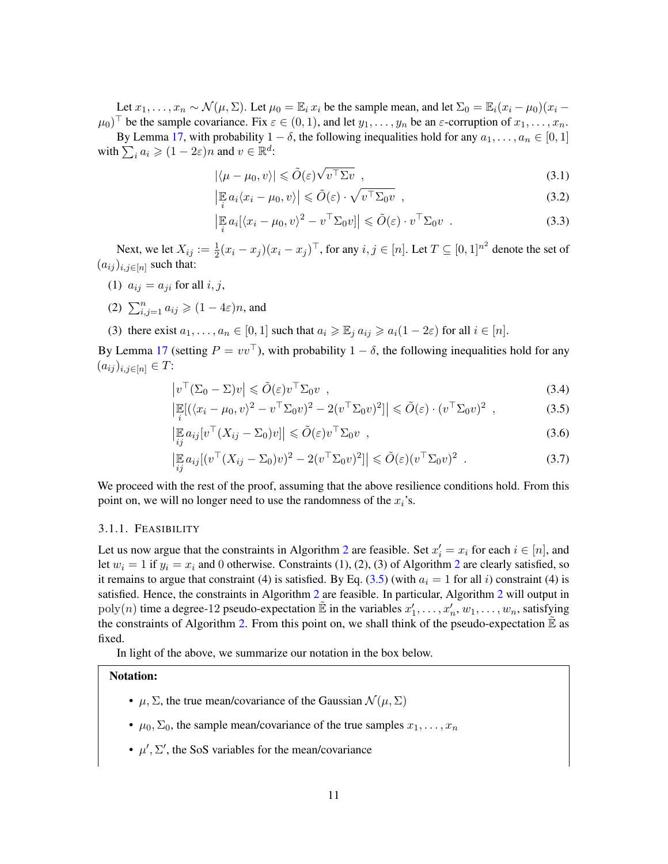Let  $x_1, \ldots, x_n \sim \mathcal{N}(\mu, \Sigma)$ . Let  $\mu_0 = \mathbb{E}_i x_i$  be the sample mean, and let  $\Sigma_0 = \mathbb{E}_i (x_i - \mu_0)(x_i \mu_0$ <sup>T</sup> be the sample covariance. Fix  $\varepsilon \in (0,1)$ , and let  $y_1, \ldots, y_n$  be an  $\varepsilon$ -corruption of  $x_1, \ldots, x_n$ .

By Lemma [17,](#page-10-2) with probability  $1 - \delta$ , the following inequalities hold for any  $a_1, \ldots, a_n \in [0, 1]$ with  $\sum_i a_i \geqslant (1 - 2\varepsilon)n$  and  $v \in \mathbb{R}^d$ : √

<span id="page-12-5"></span>
$$
|\langle \mu - \mu_0, v \rangle| \leq \tilde{O}(\varepsilon) \sqrt{v^{\top} \Sigma v} \tag{3.1}
$$

<span id="page-12-2"></span>
$$
\left| \mathbb{E}_i a_i \langle x_i - \mu_0, v \rangle \right| \leq \tilde{O}(\varepsilon) \cdot \sqrt{v^{\top} \Sigma_0 v} \quad , \tag{3.2}
$$

<span id="page-12-4"></span><span id="page-12-3"></span>
$$
\left| \mathbb{E}_i a_i [\langle x_i - \mu_0, v \rangle^2 - v^\top \Sigma_0 v] \right| \leq \tilde{O}(\varepsilon) \cdot v^\top \Sigma_0 v \quad . \tag{3.3}
$$

Next, we let  $X_{ij} := \frac{1}{2}(x_i - x_j)(x_i - x_j)^\top$ , for any  $i, j \in [n]$ . Let  $T \subseteq [0, 1]^{n^2}$  denote the set of  $(a_{ij})_{i,j\in[n]}$  such that:

- (1)  $a_{ij} = a_{ji}$  for all i, j,
- (2)  $\sum_{i,j=1}^n a_{ij} \geqslant (1-4\varepsilon)n$ , and

(3) there exist  $a_1, \ldots, a_n \in [0,1]$  such that  $a_i \geq \mathbb{E}_i a_{ij} \geq a_i(1-2\varepsilon)$  for all  $i \in [n]$ .

By Lemma [17](#page-10-2) (setting  $P = vv^{\top}$ ), with probability  $1 - \delta$ , the following inequalities hold for any  $(a_{ij})_{i,j\in[n]}\in T$ :

$$
\left|v^{\top}(\Sigma_0 - \Sigma)v\right| \leq \tilde{O}(\varepsilon)v^{\top}\Sigma_0v \quad , \tag{3.4}
$$

<span id="page-12-1"></span>
$$
\left|\mathbb{E}[(\langle x_i - \mu_0, v \rangle^2 - v^\top \Sigma_0 v)^2 - 2(v^\top \Sigma_0 v)^2] \right| \leq \tilde{O}(\varepsilon) \cdot (v^\top \Sigma_0 v)^2 , \qquad (3.5)
$$

<span id="page-12-6"></span>
$$
\left| \mathbb{E}_{ij} a_{ij} [v^\top (X_{ij} - \Sigma_0) v] \right| \leq \tilde{O}(\varepsilon) v^\top \Sigma_0 v \quad , \tag{3.6}
$$

<span id="page-12-7"></span>
$$
\left|\mathbb{E}_{ij} a_{ij} [(v^\top (X_{ij} - \Sigma_0)v)^2 - 2(v^\top \Sigma_0 v)^2] \right| \leq \tilde{O}(\varepsilon) (v^\top \Sigma_0 v)^2 . \tag{3.7}
$$

We proceed with the rest of the proof, assuming that the above resilience conditions hold. From this point on, we will no longer need to use the randomness of the  $x_i$ 's.

#### <span id="page-12-0"></span>3.1.1. FEASIBILITY

Let us now argue that the constraints in Algorithm [2](#page-4-1) are feasible. Set  $x'_i = x_i$  for each  $i \in [n]$ , and let  $w_i = 1$  if  $y_i = x_i$  and 0 otherwise. Constraints (1), ([2](#page-4-1)), (3) of Algorithm 2 are clearly satisfied, so it remains to argue that constraint (4) is satisfied. By Eq. [\(3.5\)](#page-12-1) (with  $a_i = 1$  for all i) constraint (4) is satisfied. Hence, the constraints in Algorithm [2](#page-4-1) are feasible. In particular, Algorithm [2](#page-4-1) will output in  $poly(n)$  time a degree-12 pseudo-expectation  $\mathbb{\tilde{E}}$  in the variables  $x'_1, \ldots, x'_n, w_1, \ldots, w_n$ , satisfying the constraints of Algorithm [2.](#page-4-1) From this point on, we shall think of the pseudo-expectation  $\tilde{E}$  as fixed.

In light of the above, we summarize our notation in the box below.

# Notation:

- $\mu$ ,  $\Sigma$ , the true mean/covariance of the Gaussian  $\mathcal{N}(\mu, \Sigma)$
- $\mu_0$ ,  $\Sigma_0$ , the sample mean/covariance of the true samples  $x_1, \ldots, x_n$
- $\mu'$ ,  $\Sigma'$ , the SoS variables for the mean/covariance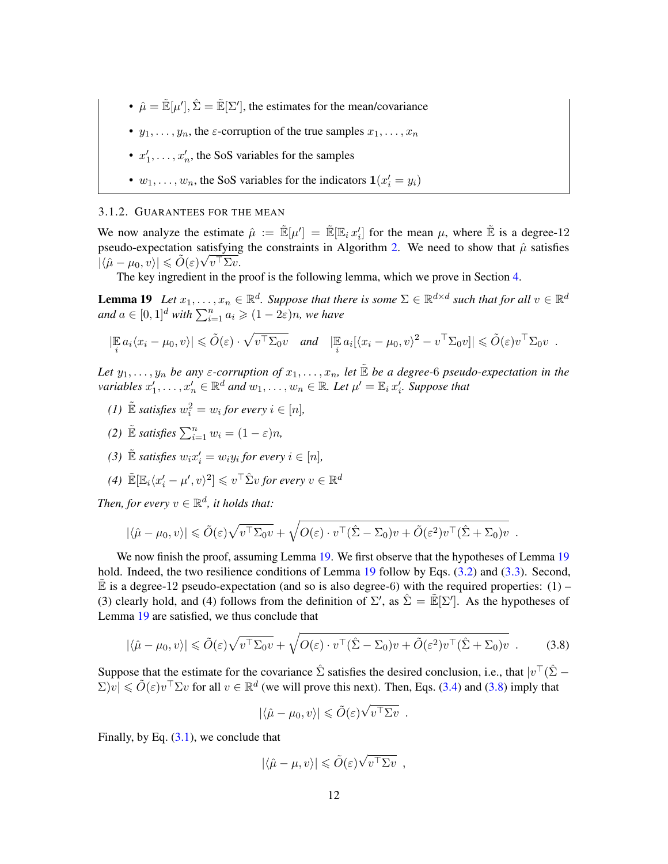- $\hat{\mu} = \mathbb{E}[\mu'], \hat{\Sigma} = \mathbb{E}[\Sigma'],$  the estimates for the mean/covariance
- $y_1, \ldots, y_n$ , the  $\varepsilon$ -corruption of the true samples  $x_1, \ldots, x_n$
- $x'_1, \ldots, x'_n$ , the SoS variables for the samples
- <span id="page-13-1"></span>•  $w_1, \ldots, w_n$ , the SoS variables for the indicators  $\mathbf{1}(x'_i = y_i)$

#### <span id="page-13-0"></span>3.1.2. GUARANTEES FOR THE MEAN

We now analyze the estimate  $\hat{\mu} := \mathbb{E}[\mu'] = \mathbb{E}[\mathbb{E}_i x'_i]$  for the mean  $\mu$ , where  $\mathbb{E}$  is a degree-12 pseudo-expectation satisfying the constraints in Algorithm [2.](#page-4-1) We need to show that  $\hat{\mu}$  satisfies  $|\langle \hat{\mu} - \mu_0, v \rangle| \leqslant \tilde{O}(\varepsilon) \sqrt{v^\top \Sigma v}.$ 

The key ingredient in the proof is the following lemma, which we prove in Section [4.](#page-18-0)

**Lemma 19** Let  $x_1, \ldots, x_n \in \mathbb{R}^d$ . Suppose that there is some  $\Sigma \in \mathbb{R}^{d \times d}$  such that for all  $v \in \mathbb{R}^d$ and  $a \in [0, 1]^d$  with  $\sum_{i=1}^n a_i \geqslant (1 - 2\varepsilon)n$ , we have

$$
\left|\mathbb{E}_i a_i \langle x_i - \mu_0, v \rangle\right| \leq \tilde{O}(\varepsilon) \cdot \sqrt{v^\top \Sigma_0 v} \quad \text{and} \quad \left|\mathbb{E}_i a_i [\langle x_i - \mu_0, v \rangle^2 - v^\top \Sigma_0 v]\right| \leq \tilde{O}(\varepsilon) v^\top \Sigma_0 v.
$$

*Let*  $y_1, \ldots, y_n$  *be any*  $\varepsilon$ -corruption of  $x_1, \ldots, x_n$ , let  $\tilde{E}$  *be a degree-6 pseudo-expectation in the* variables  $x'_1, \ldots, x'_n \in \mathbb{R}^d$  and  $w_1, \ldots, w_n \in \mathbb{R}$ . Let  $\mu' = \mathbb{E}_i x'_i$ . Suppose that

- *(1)*  $\mathbb{E}$  *satisfies*  $w_i^2 = w_i$  *for every*  $i \in [n]$ *,*
- *(2)*  $\mathbb{E}$  *satisfies*  $\sum_{i=1}^{n} w_i = (1 \varepsilon)n$ ,
- *(3)*  $\mathbb{E}$  *satisfies*  $w_i x_i' = w_i y_i$  *for every*  $i \in [n]$ *,*
- *(4)*  $\widetilde{\mathbb{E}}[\mathbb{E}_i \langle x_i' \mu', v \rangle^2] \leqslant v^\top \hat{\Sigma} v$  for every  $v \in \mathbb{R}^d$

Then, for every  $v \in \mathbb{R}^d$ , it holds that:

$$
|\langle \hat{\mu} - \mu_0, v \rangle| \leq \tilde{O}(\varepsilon) \sqrt{v^{\top} \Sigma_0 v} + \sqrt{O(\varepsilon) \cdot v^{\top} (\hat{\Sigma} - \Sigma_0) v + \tilde{O}(\varepsilon^2) v^{\top} (\hat{\Sigma} + \Sigma_0) v}.
$$

We now finish the proof, assuming Lemma [19.](#page-13-1) We first observe that the hypotheses of Lemma [19](#page-13-1) hold. Indeed, the two resilience conditions of Lemma [19](#page-13-1) follow by Eqs. [\(3.2\)](#page-12-2) and [\(3.3\)](#page-12-3). Second, E is a degree-12 pseudo-expectation (and so is also degree-6) with the required properties:  $(1)$  – (3) clearly hold, and (4) follows from the definition of  $\Sigma'$ , as  $\hat{\Sigma} = \tilde{\mathbb{E}}[\Sigma']$ . As the hypotheses of Lemma [19](#page-13-1) are satisfied, we thus conclude that

<span id="page-13-2"></span>
$$
|\langle \hat{\mu} - \mu_0, v \rangle| \le \tilde{O}(\varepsilon) \sqrt{v^{\top} \Sigma_0 v} + \sqrt{O(\varepsilon) \cdot v^{\top} (\hat{\Sigma} - \Sigma_0) v + \tilde{O}(\varepsilon^2) v^{\top} (\hat{\Sigma} + \Sigma_0) v}.
$$
 (3.8)

Suppose that the estimate for the covariance  $\hat{\Sigma}$  satisfies the desired conclusion, i.e., that  $|v^{\top}(\hat{\Sigma} - \Sigma)|$  $\sum |v| \le \tilde{O}(\varepsilon) v^{\top} \Sigma v$  for all  $v \in \mathbb{R}^d$  (we will prove this next). Then, Eqs. [\(3.4\)](#page-12-4) and [\(3.8\)](#page-13-2) imply that

<span id="page-13-3"></span>
$$
|\langle \hat{\mu} - \mu_0, v \rangle| \leq \tilde{O}(\varepsilon) \sqrt{v^\top \Sigma v} .
$$

Finally, by Eq.  $(3.1)$ , we conclude that

$$
|\langle \hat{\mu} - \mu, v \rangle| \leq \tilde{O}(\varepsilon) \sqrt{v^{\top} \Sigma v} ,
$$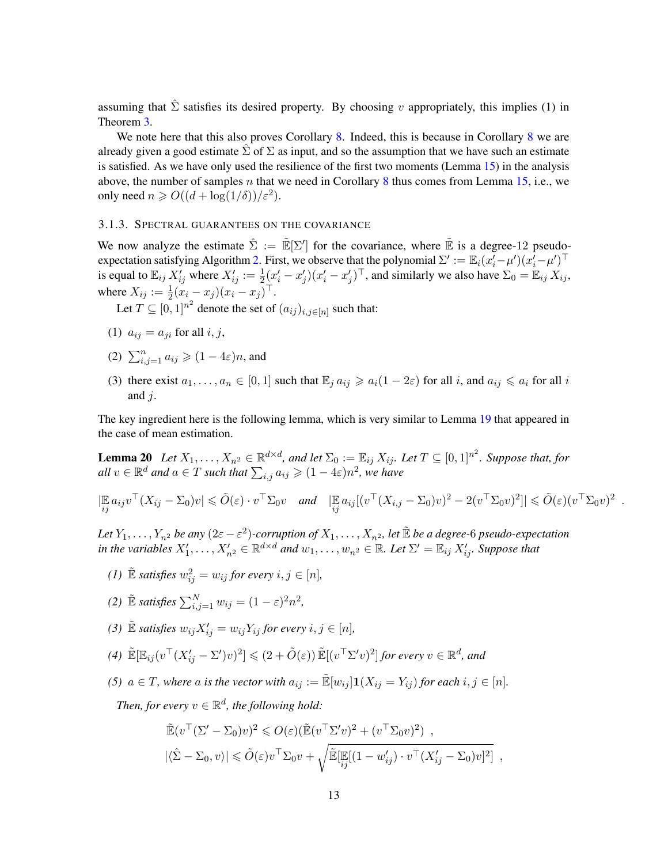assuming that  $\hat{\Sigma}$  satisfies its desired property. By choosing v appropriately, this implies (1) in Theorem [3.](#page-4-0)

We note here that this also proves Corollary [8.](#page-6-3) Indeed, this is because in Corollary [8](#page-6-3) we are already given a good estimate  $\Sigma$  of  $\Sigma$  as input, and so the assumption that we have such an estimate is satisfied. As we have only used the resilience of the first two moments (Lemma [15\)](#page-10-3) in the analysis above, the number of samples n that we need in Corollary [8](#page-6-3) thus comes from Lemma [15,](#page-10-3) i.e., we only need  $n \ge O((d + \log(1/\delta))/\varepsilon^2)$ .

# <span id="page-14-0"></span>3.1.3. SPECTRAL GUARANTEES ON THE COVARIANCE

We now analyze the estimate  $\hat{\Sigma} := \mathbb{E}[\Sigma']$  for the covariance, where  $\mathbb{E}$  is a degree-12 pseudo-expectation satisfying Algorithm [2.](#page-4-1) First, we observe that the polynomial  $\Sigma' := \mathbb{E}_i(x_i'-\mu')(x_i'-\mu')^\top$ is equal to  $\mathbb{E}_{ij} X_{ij}'$  where  $X_{ij}':=\frac{1}{2}(x_i'-x_j')(x_i'-x_j')^\top$ , and similarly we also have  $\Sigma_0=\mathbb{E}_{ij} X_{ij}$ , where  $X_{ij} := \frac{1}{2}(x_i - x_j)(x_i - x_j)^{\top}$ .

Let  $T \subseteq [0,1]^{n^2}$  denote the set of  $(a_{ij})_{i,j \in [n]}$  such that:

- (1)  $a_{ij} = a_{ji}$  for all  $i, j$ ,
- (2)  $\sum_{i,j=1}^n a_{ij} \geqslant (1-4\varepsilon)n$ , and
- <span id="page-14-1"></span>(3) there exist  $a_1, \ldots, a_n \in [0,1]$  such that  $\mathbb{E}_i a_{ij} \geq a_i(1-2\varepsilon)$  for all i, and  $a_{ij} \leq a_i$  for all i and  $j$ .

The key ingredient here is the following lemma, which is very similar to Lemma [19](#page-13-1) that appeared in the case of mean estimation.

Lemma 20 Let  $X_1,\ldots,X_{n^2}\in\mathbb{R}^{d\times d}$ , and let  $\Sigma_0:=\mathbb{E}_{ij}\,X_{ij}$ . Let  $T\subseteq[0,1]^{n^2}$ . Suppose that, for  $all v \in \mathbb{R}^d$  and  $a \in T$  such that  $\sum_{i,j} a_{ij} \geqslant (1-4\varepsilon)n^2$ , we have

$$
|\mathop{\mathbb{E}}_{ij} a_{ij} v^{\top} (X_{ij} - \Sigma_0) v| \leq \tilde{O}(\varepsilon) \cdot v^{\top} \Sigma_0 v \quad \text{and} \quad |\mathop{\mathbb{E}}_{ij} a_{ij} [(v^{\top} (X_{i,j} - \Sigma_0) v)^2 - 2(v^{\top} \Sigma_0 v)^2]| \leq \tilde{O}(\varepsilon) (v^{\top} \Sigma_0 v)^2
$$

.

Let  $Y_1,\ldots,Y_{n^2}$  be any  $(2\varepsilon-\varepsilon^2)$ -corruption of  $X_1,\ldots,X_{n^2}$ , let  $\tilde{\mathbb E}$  be a degree-6 pseudo-expectation in the variables  $X'_1, \ldots, X'_{n^2} \in \mathbb{R}^{d \times d}$  and  $w_1, \ldots, w_{n^2} \in \mathbb{R}$ . Let  $\Sigma' = \mathbb{E}_{ij} X'_{ij}$ . Suppose that

*(1)*  $\mathbb{E}$  *satisfies*  $w_{ij}^2 = w_{ij}$  *for every*  $i, j \in [n]$ *,* 

(2) 
$$
\mathbb{\tilde{E}}
$$
 satisfies  $\sum_{i,j=1}^{N} w_{ij} = (1 - \varepsilon)^2 n^2$ ,

- *(3)*  $\mathbb{E}$  *satisfies*  $w_{ij}X'_{ij} = w_{ij}Y_{ij}$  *for every*  $i, j \in [n]$ *,*
- $(4) \ \tilde{\mathbb{E}}[\mathbb{E}_{ij} (v^\top (X_{ij}' \Sigma' )v)^2] \leqslant (2 + \tilde{O}(\varepsilon)) \tilde{\mathbb{E}}[(v^\top \Sigma' v)^2]$  for every  $v \in \mathbb{R}^d$ , and
- *(5)*  $a \in T$ *, where* a *is the vector with*  $a_{ij} := \mathbb{E}[w_{ij}] \mathbf{1}(X_{ij} = Y_{ij})$  *for each*  $i, j \in [n]$ *.*

Then, for every  $v \in \mathbb{R}^d$ , the following hold:

$$
\tilde{\mathbb{E}}(v^{\top}(\Sigma'-\Sigma_0)v)^2 \leqslant O(\varepsilon)(\tilde{\mathbb{E}}(v^{\top}\Sigma'v)^2 + (v^{\top}\Sigma_0v)^2) ,
$$
\n
$$
|\langle \hat{\Sigma}-\Sigma_0,v\rangle| \leqslant \tilde{O}(\varepsilon)v^{\top}\Sigma_0v + \sqrt{\tilde{\mathbb{E}}[\mathbb{E}[(1-w'_{ij})\cdot v^{\top}(X'_{ij}-\Sigma_0)v]^2] } ,
$$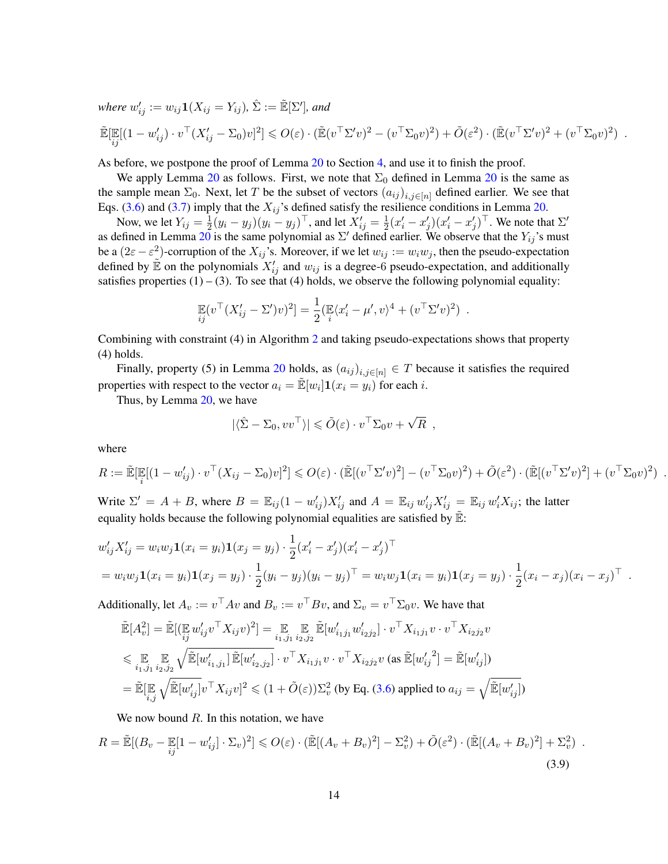where  $w'_{ij} := w_{ij} \mathbf{1}(X_{ij} = Y_{ij}), \, \hat{\Sigma} := \mathbb{\tilde{E}}[\Sigma'],$  and

$$
\mathbb{E}[\mathbb{E}[(1-w'_{ij})\cdot v^\top (X'_{ij}-\Sigma_0)v]^2] \leqslant O(\varepsilon)\cdot (\mathbb{E}(v^\top \Sigma' v)^2-(v^\top \Sigma_0 v)^2)+\tilde{O}(\varepsilon^2)\cdot (\mathbb{E}(v^\top \Sigma' v)^2+(v^\top \Sigma_0 v)^2).
$$

As before, we postpone the proof of Lemma [20](#page-14-1) to Section [4,](#page-18-0) and use it to finish the proof.

We apply Lemma [20](#page-14-1) as follows. First, we note that  $\Sigma_0$  defined in Lemma 20 is the same as the sample mean  $\Sigma_0$ . Next, let T be the subset of vectors  $(a_{ij})_{i,j\in[n]}$  defined earlier. We see that Eqs. [\(3.6\)](#page-12-6) and [\(3.7\)](#page-12-7) imply that the  $X_{ij}$ 's defined satisfy the resilience conditions in Lemma [20.](#page-14-1)

Now, we let  $Y_{ij} = \frac{1}{2}$  $\frac{1}{2}(y_i-y_j)(y_i-y_j)^\top$ , and let  $X'_{ij}=\frac{1}{2}$  $\frac{1}{2}(x'_i - x'_j)(x'_i - x'_j)^\top$ . We note that  $\Sigma'$ as defined in Lemma [20](#page-14-1) is the same polynomial as  $\Sigma'$  defined earlier. We observe that the  $Y_{ij}$ 's must be a  $(2\varepsilon - \varepsilon^2)$ -corruption of the  $X_{ij}$ 's. Moreover, if we let  $w_{ij} := w_i w_j$ , then the pseudo-expectation defined by  $\mathbb{\tilde{E}}$  on the polynomials  $X'_{ij}$  and  $w_{ij}$  is a degree-6 pseudo-expectation, and additionally satisfies properties  $(1) - (3)$ . To see that  $(4)$  holds, we observe the following polynomial equality:

$$
\mathbb{E}_{ij}(v^{\top} (X'_{ij} - \Sigma')v)^2] = \frac{1}{2} (\mathbb{E}_{i} \langle x'_{i} - \mu', v \rangle^4 + (v^{\top} \Sigma' v)^2) .
$$

Combining with constraint (4) in Algorithm [2](#page-4-1) and taking pseudo-expectations shows that property (4) holds.

Finally, property (5) in Lemma [20](#page-14-1) holds, as  $(a_{ij})_{i,j\in[n]}\in T$  because it satisfies the required properties with respect to the vector  $a_i = \mathbb{E}[w_i] \mathbf{1}(x_i = y_i)$  for each i.

Thus, by Lemma [20,](#page-14-1) we have

$$
|\langle \hat{\Sigma} - \Sigma_0, vv^\top \rangle| \leq \tilde{O}(\varepsilon) \cdot v^\top \Sigma_0 v + \sqrt{R} ,
$$

where

$$
R := \mathbb{E}[\mathbb{E}[(1 - w'_{ij}) \cdot v^\top (X_{ij} - \Sigma_0)v]^2] \leqslant O(\varepsilon) \cdot (\mathbb{E}[(v^\top \Sigma' v)^2] - (v^\top \Sigma_0 v)^2) + \tilde{O}(\varepsilon^2) \cdot (\mathbb{E}[(v^\top \Sigma' v)^2] + (v^\top \Sigma_0 v)^2).
$$

Write  $\Sigma' = A + B$ , where  $B = \mathbb{E}_{ij} (1 - w'_{ij}) X'_{ij}$  and  $A = \mathbb{E}_{ij} w'_{ij} X'_{ij} = \mathbb{E}_{ij} w'_{i} X_{ij}$ ; the latter equality holds because the following polynomial equalities are satisfied by  $\mathbb{E}$ :

$$
w'_{ij}X'_{ij} = w_i w_j \mathbf{1}(x_i = y_i) \mathbf{1}(x_j = y_j) \cdot \frac{1}{2} (x'_i - x'_j)(x'_i - x'_j)^\top
$$
  
=  $w_i w_j \mathbf{1}(x_i = y_i) \mathbf{1}(x_j = y_j) \cdot \frac{1}{2} (y_i - y_j)(y_i - y_j)^\top = w_i w_j \mathbf{1}(x_i = y_i) \mathbf{1}(x_j = y_j) \cdot \frac{1}{2} (x_i - x_j)(x_i - x_j)^\top.$ 

Additionally, let  $A_v := v^\top A v$  and  $B_v := v^\top B v$ , and  $\Sigma_v = v^\top \Sigma_0 v$ . We have that

$$
\tilde{\mathbb{E}}[A_v^2] = \tilde{\mathbb{E}}[(\mathbf{E}_y \mathbf{w}_{ij}' v^\top X_{ij} v)^2] = \mathbf{E}_{i_1, j_1} \mathbf{E}_{i_2, j_2} \mathbf{E}[w_{i_1 j_1}' w_{i_2 j_2}''] \cdot v^\top X_{i_1 j_1} v \cdot v^\top X_{i_2 j_2} v
$$
\n
$$
\leq \mathbf{E}_{i_1, j_1} \mathbf{E}_{i_2, j_2} \sqrt{\tilde{\mathbb{E}}[w_{i_1, j_1}'] \tilde{\mathbb{E}}[w_{i_2, j_2}'] \cdot v^\top X_{i_1 j_1} v \cdot v^\top X_{i_2 j_2} v \text{ (as } \tilde{\mathbb{E}}[w_{ij}'^2] = \tilde{\mathbb{E}}[w_{ij}'])
$$
\n
$$
= \tilde{\mathbb{E}}[\mathbf{E}_{i_1, j_1} \sqrt{\tilde{\mathbb{E}}[w_{ij}'] v^\top X_{ij} v]^2 \leq (1 + \tilde{O}(\varepsilon)) \Sigma_v^2 \text{ (by Eq. (3.6) applied to } a_{ij} = \sqrt{\tilde{\mathbb{E}}[w_{ij}']})
$$

We now bound  $R$ . In this notation, we have

$$
R = \tilde{\mathbb{E}}[(B_v - \mathbb{E}[1 - w'_{ij}] \cdot \Sigma_v)^2] \leqslant O(\varepsilon) \cdot (\tilde{\mathbb{E}}[(A_v + B_v)^2] - \Sigma_v^2) + \tilde{O}(\varepsilon^2) \cdot (\tilde{\mathbb{E}}[(A_v + B_v)^2] + \Sigma_v^2)
$$
\n(3.9)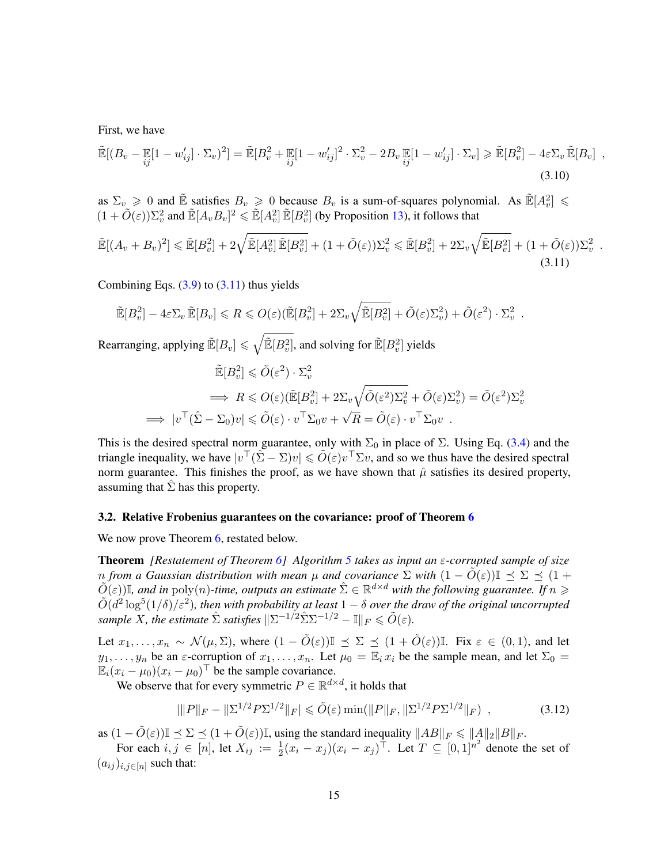First, we have

$$
\widetilde{\mathbb{E}}[(B_v - \mathbb{E}[1 - w'_{ij}] \cdot \Sigma_v)^2] = \widetilde{\mathbb{E}}[B_v^2 + \mathbb{E}[1 - w'_{ij}]^2 \cdot \Sigma_v^2 - 2B_v \mathbb{E}[1 - w'_{ij}] \cdot \Sigma_v] \ge \widetilde{\mathbb{E}}[B_v^2] - 4\varepsilon\Sigma_v \widetilde{\mathbb{E}}[B_v] ,
$$
\n(3.10)

as  $\Sigma_v \ge 0$  and  $\tilde{E}$  satisfies  $B_v \ge 0$  because  $B_v$  is a sum-of-squares polynomial. As  $\tilde{E}[A_v^2] \le$  $(1 + \tilde{O}(\varepsilon))\Sigma_v^2$  and  $\tilde{\mathbb{E}}[A_vB_v]^2 \leq \tilde{\mathbb{E}}[A_v^2]\tilde{\mathbb{E}}[B_v^2]$  (by Proposition [13\)](#page-9-1), it follows that

$$
\tilde{\mathbb{E}}[(A_v+B_v)^2] \leq \tilde{\mathbb{E}}[B_v^2] + 2\sqrt{\tilde{\mathbb{E}}[A_v^2]\tilde{\mathbb{E}}[B_v^2]} + (1+\tilde{O}(\varepsilon))\Sigma_v^2 \leq \tilde{\mathbb{E}}[B_v^2] + 2\Sigma_v\sqrt{\tilde{\mathbb{E}}[B_v^2]} + (1+\tilde{O}(\varepsilon))\Sigma_v^2.
$$
\n(3.11)

Combining Eqs.  $(3.9)$  to  $(3.11)$  thus yields

$$
\widetilde{\mathbb{E}}[B_v^2] - 4\varepsilon \Sigma_v \widetilde{\mathbb{E}}[B_v] \le R \le O(\varepsilon) (\widetilde{\mathbb{E}}[B_v^2] + 2\Sigma_v \sqrt{\widetilde{\mathbb{E}}[B_v^2]} + \widetilde{O}(\varepsilon) \Sigma_v^2) + \widetilde{O}(\varepsilon^2) \cdot \Sigma_v^2.
$$

Rearranging, applying  $\tilde{\mathbb{E}}[B_v] \leqslant \sqrt{\tilde{\mathbb{E}}[B_v^2]}$ , and solving for  $\tilde{\mathbb{E}}[B_v^2]$  yields

<span id="page-16-1"></span>
$$
\tilde{\mathbb{E}}[B_v^2] \leq \tilde{O}(\varepsilon^2) \cdot \Sigma_v^2
$$
\n
$$
\implies R \leqslant O(\varepsilon)(\tilde{\mathbb{E}}[B_v^2] + 2\Sigma_v\sqrt{\tilde{O}(\varepsilon^2)\Sigma_v^2} + \tilde{O}(\varepsilon)\Sigma_v^2) = \tilde{O}(\varepsilon^2)\Sigma_v^2
$$
\n
$$
\implies |v^\top(\hat{\Sigma} - \Sigma_0)v| \leqslant \tilde{O}(\varepsilon) \cdot v^\top \Sigma_0 v + \sqrt{R} = \tilde{O}(\varepsilon) \cdot v^\top \Sigma_0 v \ .
$$

This is the desired spectral norm guarantee, only with  $\Sigma_0$  in place of  $\Sigma$ . Using Eq. [\(3.4\)](#page-12-4) and the triangle inequality, we have  $|v^{\top}(\hat{\Sigma} - \Sigma)v| \le \tilde{O}(\varepsilon)v^{\top}\Sigma v$ , and so we thus have the desired spectral norm guarantee. This finishes the proof, as we have shown that  $\hat{\mu}$  satisfies its desired property, assuming that  $\Sigma$  has this property.

#### <span id="page-16-0"></span>3.2. Relative Frobenius guarantees on the covariance: proof of Theorem [6](#page-5-0)

We now prove Theorem [6,](#page-5-0) restated below.

Theorem *[Restatement of Theorem [6\]](#page-5-0) Algorithm [5](#page-5-1) takes as input an* ε*-corrupted sample of size n* from a Gaussian distribution with mean  $\mu$  and covariance  $\Sigma$  with  $(1 - \tilde{O}(\varepsilon))\mathbb{I} \preceq \Sigma \preceq (1 +$  $\tilde{O}(\varepsilon)$ ], and in  $\text{poly}(n)$ -time, outputs an estimate  $\hat{\Sigma}\in\mathbb{R}^{d\times d}$  with the following guarantee. If  $n\geqslant$  $\tilde{O}(d^2\log^5(1/\delta)/\varepsilon^2)$ , then with probability at least  $1-\delta$  over the draw of the original uncorrupted *sample* X, the estimate  $\hat{\Sigma}$  *satisfies*  $\|\Sigma^{-1/2}\hat{\Sigma}\Sigma^{-1/2} - \mathbb{I}\|_F \leq \tilde{O}(\varepsilon)$ .

Let  $x_1, \ldots, x_n \sim \mathcal{N}(\mu, \Sigma)$ , where  $(1 - \tilde{O}(\varepsilon)) \mathbb{I} \preceq \Sigma \preceq (1 + \tilde{O}(\varepsilon)) \mathbb{I}$ . Fix  $\varepsilon \in (0, 1)$ , and let  $y_1, \ldots, y_n$  be an  $\varepsilon$ -corruption of  $x_1, \ldots, x_n$ . Let  $\mu_0 = \mathbb{E}_i x_i$  be the sample mean, and let  $\Sigma_0 =$  $\mathbb{E}_i(x_i - \mu_0)(x_i - \mu_0)^\top$  be the sample covariance.

We observe that for every symmetric  $P \in \mathbb{R}^{d \times d}$ , it holds that

<span id="page-16-2"></span>
$$
|\|P\|_F - \|\Sigma^{1/2} P \Sigma^{1/2}\|_F| \le \tilde{O}(\varepsilon) \min(\|P\|_F, \|\Sigma^{1/2} P \Sigma^{1/2}\|_F) \tag{3.12}
$$

as  $(1 - \tilde{O}(\varepsilon))\mathbb{I} \leq \Sigma \leq (1 + \tilde{O}(\varepsilon))\mathbb{I}$ , using the standard inequality  $||AB||_F \leq ||A||_2||B||_F$ .

For each  $i, j \in [n]$ , let  $X_{ij} := \frac{1}{2}(x_i - x_j)(x_i - x_j)^{\top}$ . Let  $T \subseteq [0, 1]^{n^2}$  denote the set of  $(a_{ij})_{i,j\in[n]}$  such that: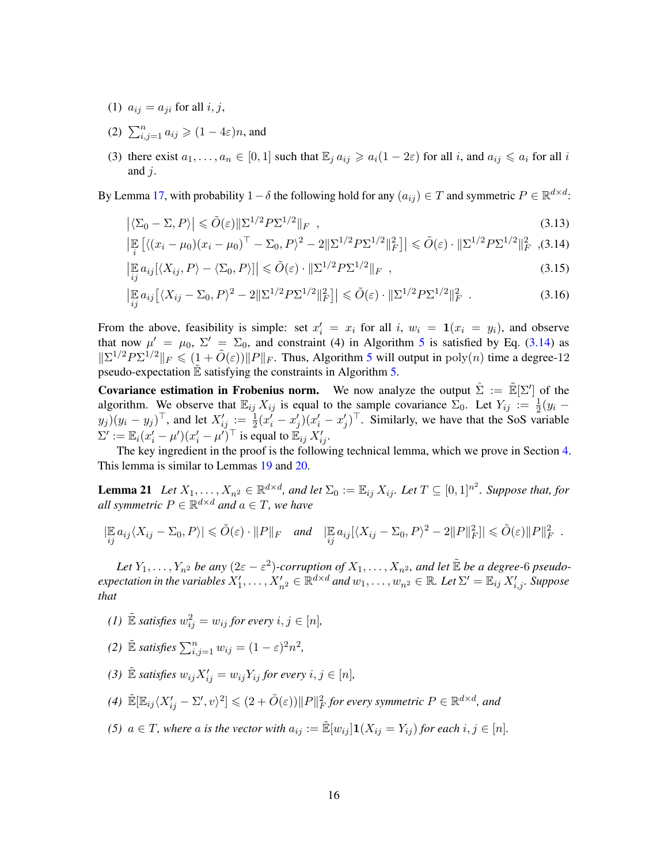- (1)  $a_{ij} = a_{ji}$  for all  $i, j$ ,
- (2)  $\sum_{i,j=1}^n a_{ij} \geqslant (1-4\varepsilon)n$ , and
- (3) there exist  $a_1, \ldots, a_n \in [0,1]$  such that  $\mathbb{E}_i a_{ij} \geq a_i(1-2\varepsilon)$  for all i, and  $a_{ij} \leq a_i$  for all i and  $i$ .

By Lemma [17,](#page-10-2) with probability 1 –  $\delta$  the following hold for any  $(a_{ij}) \in T$  and symmetric  $P \in \mathbb{R}^{d \times d}$ :

<span id="page-17-4"></span>
$$
\left| \langle \Sigma_0 - \Sigma, P \rangle \right| \leq \tilde{O}(\varepsilon) \| \Sigma^{1/2} P \Sigma^{1/2} \|_F , \qquad (3.13)
$$

<span id="page-17-0"></span>
$$
\left| \mathbb{E}_{i} \left[ \langle (x_{i} - \mu_{0})(x_{i} - \mu_{0})^{\top} - \Sigma_{0}, P \rangle^{2} - 2 \| \Sigma^{1/2} P \Sigma^{1/2} \|_{F}^{2} \right] \right| \leq \tilde{O}(\varepsilon) \cdot \| \Sigma^{1/2} P \Sigma^{1/2} \|_{F}^{2}, (3.14)
$$

<span id="page-17-2"></span>
$$
\left| \mathbb{E}_{ij} a_{ij} [\langle X_{ij}, P \rangle - \langle \Sigma_0, P \rangle] \right| \leq \tilde{O}(\varepsilon) \cdot \| \Sigma^{1/2} P \Sigma^{1/2} \|_F , \qquad (3.15)
$$

<span id="page-17-3"></span>
$$
\left| \mathbb{E}_{ij} a_{ij} \left[ \langle X_{ij} - \Sigma_0, P \rangle^2 - 2 \| \Sigma^{1/2} P \Sigma^{1/2} \|_F^2 \right] \right| \leq \tilde{O}(\varepsilon) \cdot \| \Sigma^{1/2} P \Sigma^{1/2} \|_F^2 \quad . \tag{3.16}
$$

From the above, feasibility is simple: set  $x'_i = x_i$  for all i,  $w_i = \mathbf{1}(x_i = y_i)$ , and observe that now  $\mu' = \mu_0$ ,  $\Sigma' = \Sigma_0$ , and constraint (4) in Algorithm [5](#page-5-1) is satisfied by Eq. [\(3.14\)](#page-17-0) as  $||\Sigma^{1/2}P\Sigma^{1/2}||_F \leq (1 + \tilde{O}(\varepsilon))||P||_F$ . Thus, Algorithm [5](#page-5-1) will output in  $\text{poly}(n)$  time a degree-12 pseudo-expectation  $E$  satisfying the constraints in Algorithm  $5$ .

**Covariance estimation in Frobenius norm.** We now analyze the output  $\hat{\Sigma} := \tilde{E}[\Sigma']$  of the algorithm. We observe that  $\mathbb{E}_{ij} X_{ij}$  is equal to the sample covariance  $\Sigma_0$ . Let  $Y_{ij} := \frac{1}{2}(y_i (y_j)(y_i - y_j)^\top$ , and let  $X'_{ij} := \frac{1}{2}(x_i^j - x_j')(x_i' - x_j')^\top$ . Similarly, we have that the SoS variable  $\Sigma' := \mathbb{E}_i (x_i' - \mu') (x_i' - \mu')^\top$  is equal to  $\mathbb{E}_{ij} X_{ij}'.$ 

<span id="page-17-1"></span>The key ingredient in the proof is the following technical lemma, which we prove in Section [4.](#page-18-0) This lemma is similar to Lemmas [19](#page-13-1) and [20.](#page-14-1)

**Lemma 21** Let  $X_1, \ldots, X_{n^2} \in \mathbb{R}^{d \times d}$ , and let  $\Sigma_0 := \mathbb{E}_{ij} X_{ij}$ . Let  $T \subseteq [0,1]^{n^2}$ . Suppose that, for *all symmetric*  $P \in \mathbb{R}^{d \times d}$  and  $a \in T$ , we have

$$
|\mathbb{E}_{ij} a_{ij} \langle X_{ij} - \Sigma_0, P \rangle| \le \tilde{O}(\varepsilon) \cdot ||P||_F \quad \text{and} \quad |\mathbb{E}_{ij} a_{ij} [\langle X_{ij} - \Sigma_0, P \rangle^2 - 2||P||_F^2] \le \tilde{O}(\varepsilon) ||P||_F^2.
$$

Let  $Y_1, \ldots, Y_{n^2}$  be any  $(2\varepsilon - \varepsilon^2)$ -corruption of  $X_1, \ldots, X_{n^2}$ , and let  $\tilde{\mathbb{E}}$  be a degree-6 pseudo $e$ xpectation in the variables  $X'_1,\ldots,X'_{n^2}\in\mathbb{R}^{d\times d}$  and  $w_1,\ldots,w_{n^2}\in\mathbb{R}$ . Let  $\Sigma'=\mathbb{E}_{ij}\,X'_{i,j}.$  Suppose *that*

- *(1)*  $\mathbb{E}$  *satisfies*  $w_{ij}^2 = w_{ij}$  *for every*  $i, j \in [n]$ *,*
- (2)  $\mathbb{\tilde{E}}$  *satisfies*  $\sum_{i,j=1}^{n} w_{ij} = (1 \varepsilon)^2 n^2$ ,
- *(3)*  $\mathbb{E}$  *satisfies*  $w_{ij}X'_{ij} = w_{ij}Y_{ij}$  *for every*  $i, j \in [n]$ *,*
- $(4)$   $\tilde{\mathbb{E}}[\mathbb{E}_{ij}\langle X'_{ij}-\Sigma',v\rangle^2]\leqslant (2+\tilde{O}(\varepsilon))\|P\|_F^2$  for every symmetric  $P\in\mathbb{R}^{d\times d}$ , and
- *(5)*  $a \in T$ *, where* a *is the vector with*  $a_{ij} := \mathbb{E}[w_{ij}] \mathbf{1}(X_{ij} = Y_{ij})$  *for each*  $i, j \in [n]$ *.*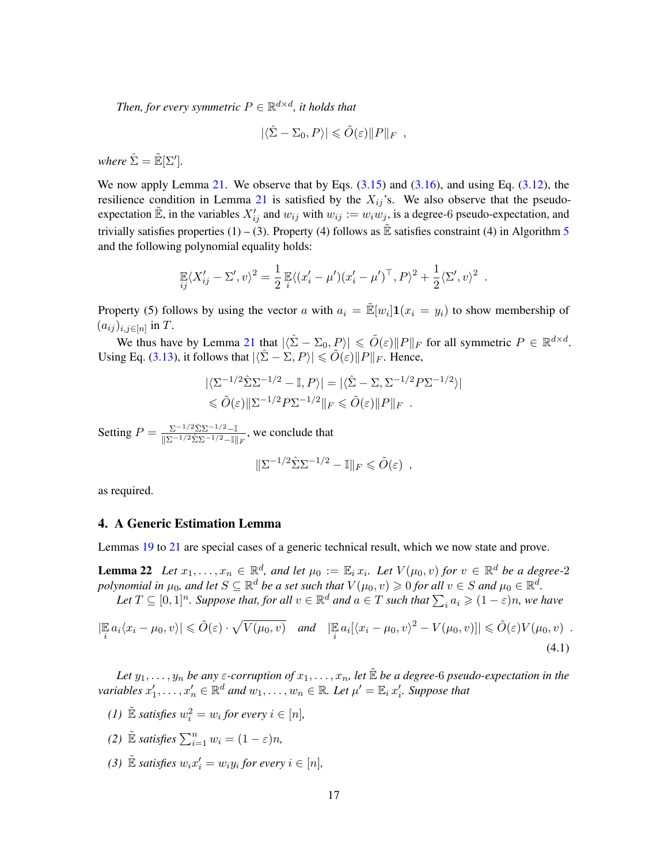Then, for every symmetric  $P \in \mathbb{R}^{d \times d}$ , it holds that

$$
|\langle \hat{\Sigma} - \Sigma_0, P \rangle| \leq \tilde{O}(\varepsilon) \| P \|_F ,
$$

*where*  $\hat{\Sigma} = \mathbb{\tilde{E}}[\Sigma']$ .

We now apply Lemma [21.](#page-17-1) We observe that by Eqs.  $(3.15)$  and  $(3.16)$ , and using Eq.  $(3.12)$ , the resilience condition in Lemma [21](#page-17-1) is satisfied by the  $X_{ij}$ 's. We also observe that the pseudoexpectation  $\mathbb{E}$ , in the variables  $X'_{ij}$  and  $w_{ij}$  with  $w_{ij} := w_i w_j$ , is a degree-6 pseudo-expectation, and trivially satisfies properties (1) – (3). Property (4) follows as  $\mathbb{\mathbb{E}}$  satisfies constraint (4) in Algorithm [5](#page-5-1) and the following polynomial equality holds:

$$
\mathbb{E}\langle X'_{ij} - \Sigma', v \rangle^2 = \frac{1}{2} \mathbb{E}\langle (x'_i - \mu') (x'_i - \mu')^\top, P \rangle^2 + \frac{1}{2} \langle \Sigma', v \rangle^2.
$$

Property (5) follows by using the vector a with  $a_i = \mathbb{E}[w_i] \mathbf{1}(x_i = y_i)$  to show membership of  $(a_{ij})_{i,j\in[n]}$  in T.

We thus have by Lemma [21](#page-17-1) that  $|\langle \hat{\Sigma} - \Sigma_0, P \rangle| \le \tilde{O}(\varepsilon) ||P||_F$  for all symmetric  $P \in \mathbb{R}^{d \times d}$ . Using Eq. [\(3.13\)](#page-17-4), it follows that  $|\langle \hat{\Sigma} - \Sigma, P \rangle| \leq \tilde{O}(\varepsilon) ||P||_F$ . Hence,

$$
\begin{aligned} |\langle \Sigma^{-1/2} \hat{\Sigma} \Sigma^{-1/2} - \mathbb{I}, P \rangle| &= |\langle \hat{\Sigma} - \Sigma, \Sigma^{-1/2} P \Sigma^{-1/2} \rangle| \\ &\leq \tilde{O}(\varepsilon) \|\Sigma^{-1/2} P \Sigma^{-1/2}\|_F \leq \tilde{O}(\varepsilon) \|P\|_F \end{aligned}
$$

Setting  $P = \frac{\sum -1/2 \hat{\Sigma} \Sigma^{-1/2} - \mathbb{I}}{\|\Sigma - 1/2 \hat{\Sigma} \Sigma - 1/2 - \mathbb{I}\|}$  $\frac{\sum_{i=1}^{N} P_i \sum_{i=1}^{N} (P_i - P_i)}{\|\sum_{i=1}^{N} P_i \sum_{i=1}^{N} (P_i - P_i)\|_F}$ , we conclude that

<span id="page-18-2"></span><span id="page-18-1"></span>
$$
\|\Sigma^{-1/2}\hat{\Sigma}\Sigma^{-1/2} - \mathbb{I}\|_F \leq \tilde{O}(\varepsilon) ,
$$

as required.

# <span id="page-18-0"></span>4. A Generic Estimation Lemma

Lemmas [19](#page-13-1) to [21](#page-17-1) are special cases of a generic technical result, which we now state and prove.

**Lemma 22** Let  $x_1, \ldots, x_n \in \mathbb{R}^d$ , and let  $\mu_0 := \mathbb{E}_i x_i$ . Let  $V(\mu_0, v)$  for  $v \in \mathbb{R}^d$  be a degree-2 polynomial in  $\mu_0$ , and let  $S\subseteq \mathbb{R}^d$  be a set such that  $V(\mu_0,v)\geqslant 0$  for all  $v\in S$  and  $\mu_0\in \mathbb{R}^d$ .

Let  $T \subseteq [0,1]^n$ . Suppose that, for all  $v \in \mathbb{R}^d$  and  $a \in T$  such that  $\sum_i a_i \geqslant (1-\varepsilon)n$ , we have

$$
\left|\mathbb{E}_{i}a_{i}\langle x_{i}-\mu_{0},v\rangle\right| \leq \tilde{O}(\varepsilon)\cdot\sqrt{V(\mu_{0},v)} \quad \text{and} \quad \left|\mathbb{E}_{i}a_{i}[\langle x_{i}-\mu_{0},v\rangle^{2}-V(\mu_{0},v)]\right| \leq \tilde{O}(\varepsilon)V(\mu_{0},v) \quad .
$$
\n(4.1)

*Let*  $y_1, \ldots, y_n$  *be any*  $\varepsilon$ -corruption of  $x_1, \ldots, x_n$ , let  $\mathbb E$  *be a degree-6 pseudo-expectation in the* variables  $x'_1, \ldots, x'_n \in \mathbb{R}^d$  and  $w_1, \ldots, w_n \in \mathbb{R}$ . Let  $\mu' = \mathbb{E}_i x'_i$ . Suppose that

*(1)*  $\mathbb{E}$  *satisfies*  $w_i^2 = w_i$  *for every*  $i \in [n]$ *,* 

(2) 
$$
\mathbb{E}
$$
 satisfies  $\sum_{i=1}^{n} w_i = (1 - \varepsilon)n$ ,

(3)  $\mathbb{E}$  *satisfies*  $w_i x_i' = w_i y_i$  *for every*  $i \in [n]$ *,*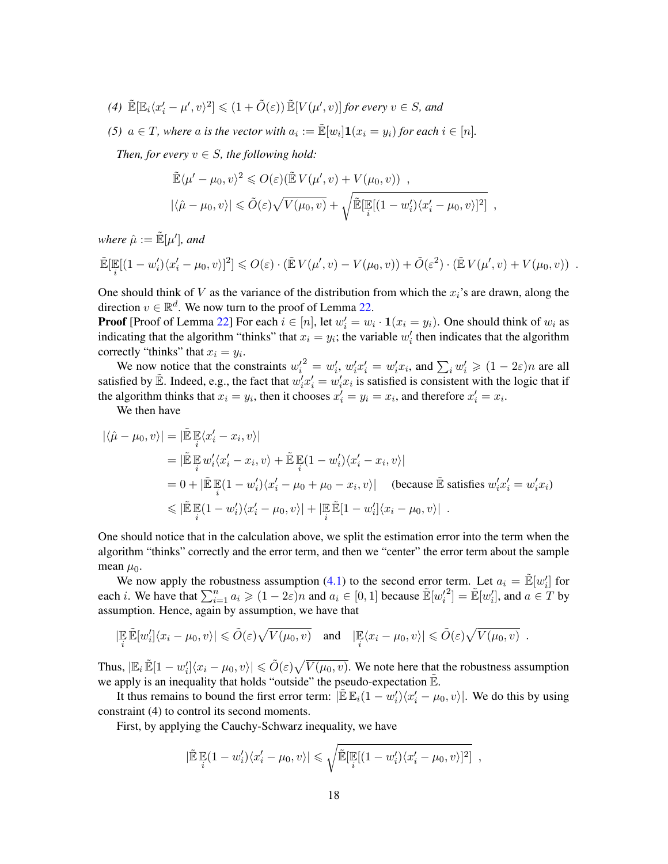$(4) \ \tilde{\mathbb{E}}[\mathbb{E}_i \langle x_i'-\mu',v \rangle^2] \leqslant (1+\tilde{O}(\varepsilon)) \, \tilde{\mathbb{E}}[V(\mu',v)]$  for every  $v \in S$ , and

*(5)*  $a \in T$ , where a is the vector with  $a_i := \mathbb{E}[w_i] \mathbf{1}(x_i = y_i)$  for each  $i \in [n]$ .

*Then, for every*  $v \in S$ *, the following hold:* 

$$
\tilde{\mathbb{E}} \langle \mu' - \mu_0, v \rangle^2 \leqslant O(\varepsilon) \big( \tilde{\mathbb{E}} V(\mu', v) + V(\mu_0, v) \big) ,
$$
\n
$$
|\langle \hat{\mu} - \mu_0, v \rangle| \leqslant \tilde{O}(\varepsilon) \sqrt{V(\mu_0, v)} + \sqrt{\tilde{\mathbb{E}}[\mathbb{E}[(1 - w_i') \langle x_i' - \mu_0, v \rangle]^2} ,
$$

where  $\hat{\mu} := \mathbb{\tilde{E}}[\mu'],$  and

$$
\widetilde{\mathbb{E}}[\mathbb{E}[(1-w_i')\langle x_i'-\mu_0,v\rangle]^2] \leqslant O(\varepsilon) \cdot (\widetilde{\mathbb{E}} V(\mu',v) - V(\mu_0,v)) + \widetilde{O}(\varepsilon^2) \cdot (\widetilde{\mathbb{E}} V(\mu',v) + V(\mu_0,v)) .
$$

One should think of V as the variance of the distribution from which the  $x_i$ 's are drawn, along the direction  $v \in \mathbb{R}^d$ . We now turn to the proof of Lemma [22.](#page-18-1)

**Proof** [Proof of Lemma [22\]](#page-18-1) For each  $i \in [n]$ , let  $w'_i = w_i \cdot \mathbf{1}(x_i = y_i)$ . One should think of  $w_i$  as indicating that the algorithm "thinks" that  $x_i = y_i$ ; the variable  $w'_i$  then indicates that the algorithm correctly "thinks" that  $x_i = y_i$ .

We now notice that the constraints  $w_i'^2 = w_i'$ ,  $w_i' x_i' = w_i' x_i$ , and  $\sum_i w_i' \ge (1 - 2\varepsilon)n$  are all satisfied by  $\tilde{E}$ . Indeed, e.g., the fact that  $w'_i x'_i = w'_i x_i$  is satisfied is consistent with the logic that if the algorithm thinks that  $x_i = y_i$ , then it chooses  $x'_i = y_i = x_i$ , and therefore  $x'_i = x_i$ .

We then have

$$
\begin{split}\n|\langle \hat{\mu} - \mu_0, v \rangle| &= |\tilde{\mathbb{E}} \mathop{\mathbb{E}}_i \langle x_i' - x_i, v \rangle| \\
&= |\tilde{\mathbb{E}} \mathop{\mathbb{E}}_i w_i' \langle x_i' - x_i, v \rangle + \tilde{\mathbb{E}} \mathop{\mathbb{E}}_i (1 - w_i') \langle x_i' - x_i, v \rangle| \\
&= 0 + |\tilde{\mathbb{E}} \mathop{\mathbb{E}}_i (1 - w_i') \langle x_i' - \mu_0 + \mu_0 - x_i, v \rangle| \quad \text{(because } \tilde{\mathbb{E}} \text{ satisfies } w_i' x_i' = w_i' x_i) \\
&\leq |\tilde{\mathbb{E}} \mathop{\mathbb{E}}_i (1 - w_i') \langle x_i' - \mu_0, v \rangle| + |\mathop{\mathbb{E}}_i \tilde{\mathbb{E}} [1 - w_i'] \langle x_i - \mu_0, v \rangle| .\n\end{split}
$$

One should notice that in the calculation above, we split the estimation error into the term when the algorithm "thinks" correctly and the error term, and then we "center" the error term about the sample mean  $\mu_0$ .

We now apply the robustness assumption [\(4.1\)](#page-18-2) to the second error term. Let  $a_i = \mathbb{E}[w'_i]$  for each *i*. We have that  $\sum_{i=1}^{n} a_i \geq (1 - 2\varepsilon)n$  and  $a_i \in [0, 1]$  because  $\mathbb{E}[w_i]$  $\mathbb{E}[w_i']$ , and  $a \in T$  by assumption. Hence, again by assumption, we have that

$$
|\mathbb{E}_{i} \mathbb{E}[w'_{i}]\langle x_{i} - \mu_{0}, v \rangle| \leq \tilde{O}(\varepsilon) \sqrt{V(\mu_{0}, v)} \quad \text{and} \quad |\mathbb{E}\langle x_{i} - \mu_{0}, v \rangle| \leq \tilde{O}(\varepsilon) \sqrt{V(\mu_{0}, v)} \; .
$$

Thus,  $|\mathbb{E}_i \, \tilde{\mathbb{E}}[1-w_i'] \langle x_i - \mu_0, v \rangle| \leq \tilde{O}(\varepsilon) \sqrt{V(\mu_0, v)}$ . We note here that the robustness assumption we apply is an inequality that holds "outside" the pseudo-expectation  $\mathbb{E}$ .

It thus remains to bound the first error term:  $\left| \mathbb{\tilde{E}} \mathbb{E}_i(1 - w_i') \langle x_i' - \mu_0, v \rangle \right|$ . We do this by using constraint (4) to control its second moments.

First, by applying the Cauchy-Schwarz inequality, we have

$$
|\widetilde{\mathbb{E}}\left[\mathbb{E}(1-w_i')\langle x_i'-\mu_0,v\rangle\right|\leq \sqrt{\widetilde{\mathbb{E}}\left[\mathbb{E}[(1-w_i')\langle x_i'-\mu_0,v\rangle]^2\right]},
$$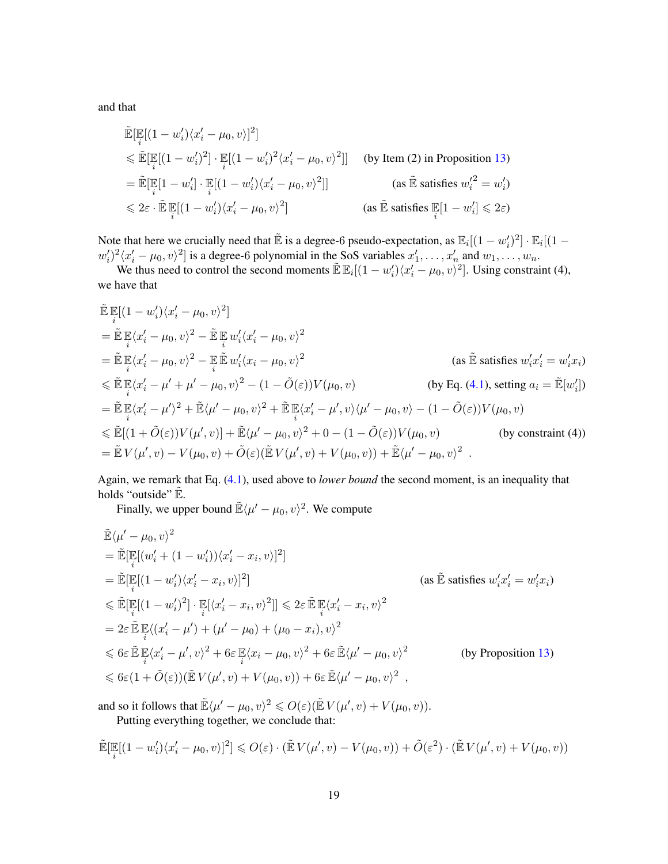and that

$$
\tilde{\mathbb{E}}[\mathbb{E}[(1-w_i')\langle x_i'-\mu_0,v\rangle]^2]
$$
\n
$$
\leq \tilde{\mathbb{E}}[\mathbb{E}[(1-w_i')^2] \cdot \mathbb{E}[(1-w_i')^2\langle x_i'-\mu_0,v\rangle^2]] \quad \text{(by Item (2) in Proposition 13)}
$$
\n
$$
= \tilde{\mathbb{E}}[\mathbb{E}[1-w_i'] \cdot \mathbb{E}[(1-w_i')\langle x_i'-\mu_0,v\rangle^2]] \quad \text{(as } \tilde{\mathbb{E}} \text{ satisfies } w_i'^2 = w_i')
$$
\n
$$
\leq 2\varepsilon \cdot \tilde{\mathbb{E}}\mathbb{E}[(1-w_i')\langle x_i'-\mu_0,v\rangle^2] \quad \text{(as } \tilde{\mathbb{E}} \text{ satisfies } \mathbb{E}[1-w_i'] \leq 2\varepsilon)
$$

Note that here we crucially need that  $\mathbb{\tilde{E}}$  is a degree-6 pseudo-expectation, as  $\mathbb{E}_i[(1-w_i')^2] \cdot \mathbb{E}_i[(1-w_i')^2]$  $w'_i{}^i{}^j\langle x'_i - \mu_0, v \rangle^2$  is a degree-6 polynomial in the SoS variables  $x'_1, \ldots, x'_n$  and  $w_1, \ldots, w_n$ .

We thus need to control the second moments  $\mathbb{E} \mathbb{E}_i[(1-w_i')\langle x_i'-\mu_0,v\rangle^2]$ . Using constraint (4), we have that

$$
\tilde{\mathbb{E}} \mathbb{E}[(1-w_i')(x_i'-\mu_0,v)^2]
$$
\n
$$
= \tilde{\mathbb{E}} \mathbb{E}\langle x_i'-\mu_0,v\rangle^2 - \tilde{\mathbb{E}} \mathbb{E} w_i'(x_i'-\mu_0,v)^2
$$
\n
$$
= \tilde{\mathbb{E}} \mathbb{E}\langle x_i'-\mu_0,v\rangle^2 - \mathbb{E} \mathbb{E} w_i'(x_i-\mu_0,v)^2
$$
\n
$$
\leq \tilde{\mathbb{E}} \mathbb{E}\langle x_i'-\mu_0,v\rangle^2 - (1-\tilde{O}(\varepsilon))V(\mu_0,v)
$$
\n
$$
\leq \tilde{\mathbb{E}} \mathbb{E}\langle x_i'-\mu'+\mu'-\mu_0,v\rangle^2 - (1-\tilde{O}(\varepsilon))V(\mu_0,v)
$$
\n
$$
= \tilde{\mathbb{E}} \mathbb{E}\langle x_i'-\mu'\rangle^2 + \tilde{\mathbb{E}}\langle \mu'-\mu_0,v\rangle^2 + \tilde{\mathbb{E}} \mathbb{E}\langle x_i'-\mu',v\rangle\langle \mu'-\mu_0,v\rangle - (1-\tilde{O}(\varepsilon))V(\mu_0,v)
$$
\n
$$
\leq \tilde{\mathbb{E}}[(1+\tilde{O}(\varepsilon))V(\mu',v)] + \tilde{\mathbb{E}}\langle \mu'-\mu_0,v\rangle^2 + 0 - (1-\tilde{O}(\varepsilon))V(\mu_0,v)
$$
\n
$$
= \tilde{\mathbb{E}} V(\mu',v) - V(\mu_0,v) + \tilde{O}(\varepsilon)(\tilde{\mathbb{E}} V(\mu',v) + V(\mu_0,v)) + \tilde{\mathbb{E}}\langle \mu'-\mu_0,v\rangle^2.
$$
\n(by constraint (4))

Again, we remark that Eq. [\(4.1\)](#page-18-2), used above to *lower bound* the second moment, is an inequality that holds "outside"  $\tilde{\mathbb{E}}$ .

Finally, we upper bound  $\mathbb{E}\langle \mu' - \mu_0, v \rangle^2$ . We compute

$$
\tilde{\mathbb{E}}\langle \mu' - \mu_0, v \rangle^2
$$
\n
$$
= \tilde{\mathbb{E}}[\mathbb{E}[(w_i' + (1 - w_i'))\langle x_i' - x_i, v \rangle]^2]
$$
\n
$$
= \tilde{\mathbb{E}}[\mathbb{E}[(1 - w_i')\langle x_i' - x_i, v \rangle]^2]
$$
\n
$$
\leq \tilde{\mathbb{E}}[\mathbb{E}[(1 - w_i')^2] \cdot \mathbb{E}[\langle x_i' - x_i, v \rangle^2]] \leq 2\varepsilon \tilde{\mathbb{E}}[\mathbb{E}\langle x_i' - x_i, v \rangle^2]
$$
\n
$$
= 2\varepsilon \tilde{\mathbb{E}}[\mathbb{E}\langle (x_i' - \mu') + (\mu' - \mu_0) + (\mu_0 - x_i), v \rangle^2
$$
\n
$$
\leq 6\varepsilon \tilde{\mathbb{E}}[\mathbb{E}\langle x_i' - \mu', v \rangle^2 + 6\varepsilon \mathbb{E}\langle x_i - \mu_0, v \rangle^2 + 6\varepsilon \tilde{\mathbb{E}}\langle \mu' - \mu_0, v \rangle^2
$$
\n
$$
\leq 6\varepsilon (1 + \tilde{O}(\varepsilon))(\tilde{\mathbb{E}}V(\mu', v) + V(\mu_0, v)) + 6\varepsilon \tilde{\mathbb{E}}\langle \mu' - \mu_0, v \rangle^2,
$$
\n(by Proposition 13)\n
$$
\leq 6\varepsilon (1 + \tilde{O}(\varepsilon))(\tilde{\mathbb{E}}V(\mu', v) + V(\mu_0, v)) + 6\varepsilon \tilde{\mathbb{E}}\langle \mu' - \mu_0, v \rangle^2,
$$

and so it follows that  $\tilde{\mathbb{E}} \langle \mu' - \mu_0, v \rangle^2 \leqslant O(\varepsilon) (\tilde{\mathbb{E}} V(\mu', v) + V(\mu_0, v)).$ Putting everything together, we conclude that:

$$
\mathbb{\tilde{E}}[\mathbb{E}[(1-w_i')(x_i'-\mu_0,v)]^2] \leqslant O(\varepsilon) \cdot (\mathbb{\tilde{E}} V(\mu',v) - V(\mu_0,v)) + \tilde{O}(\varepsilon^2) \cdot (\mathbb{\tilde{E}} V(\mu',v) + V(\mu_0,v))
$$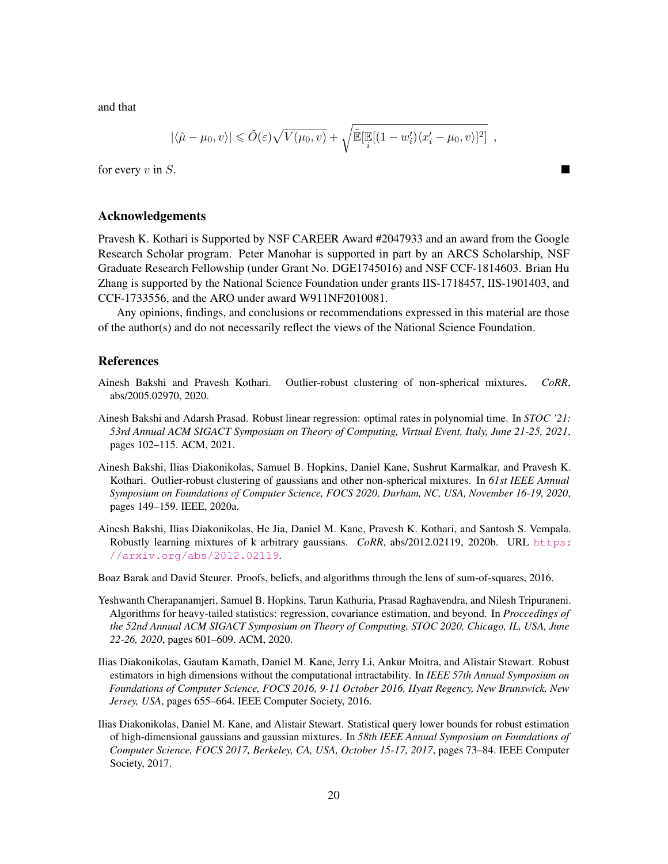and that

$$
|\langle \hat{\mu} - \mu_0, v \rangle| \leq \tilde{O}(\varepsilon) \sqrt{V(\mu_0, v)} + \sqrt{\tilde{\mathbb{E}}[\mathbb{E}[(1 - w_i') \langle x_i' - \mu_0, v \rangle]^2)},
$$

for every  $v$  in  $S$ .

## Acknowledgements

Pravesh K. Kothari is Supported by NSF CAREER Award #2047933 and an award from the Google Research Scholar program. Peter Manohar is supported in part by an ARCS Scholarship, NSF Graduate Research Fellowship (under Grant No. DGE1745016) and NSF CCF-1814603. Brian Hu Zhang is supported by the National Science Foundation under grants IIS-1718457, IIS-1901403, and CCF-1733556, and the ARO under award W911NF2010081.

Any opinions, findings, and conclusions or recommendations expressed in this material are those of the author(s) and do not necessarily reflect the views of the National Science Foundation.

# References

- <span id="page-21-1"></span>Ainesh Bakshi and Pravesh Kothari. Outlier-robust clustering of non-spherical mixtures. *CoRR*, abs/2005.02970, 2020.
- <span id="page-21-2"></span>Ainesh Bakshi and Adarsh Prasad. Robust linear regression: optimal rates in polynomial time. In *STOC '21: 53rd Annual ACM SIGACT Symposium on Theory of Computing, Virtual Event, Italy, June 21-25, 2021*, pages 102–115. ACM, 2021.
- <span id="page-21-3"></span>Ainesh Bakshi, Ilias Diakonikolas, Samuel B. Hopkins, Daniel Kane, Sushrut Karmalkar, and Pravesh K. Kothari. Outlier-robust clustering of gaussians and other non-spherical mixtures. In *61st IEEE Annual Symposium on Foundations of Computer Science, FOCS 2020, Durham, NC, USA, November 16-19, 2020*, pages 149–159. IEEE, 2020a.
- <span id="page-21-5"></span>Ainesh Bakshi, Ilias Diakonikolas, He Jia, Daniel M. Kane, Pravesh K. Kothari, and Santosh S. Vempala. Robustly learning mixtures of k arbitrary gaussians. *CoRR*, abs/2012.02119, 2020b. URL [https:](https://arxiv.org/abs/2012.02119) [//arxiv.org/abs/2012.02119](https://arxiv.org/abs/2012.02119).

<span id="page-21-7"></span>Boaz Barak and David Steurer. Proofs, beliefs, and algorithms through the lens of sum-of-squares, 2016.

- <span id="page-21-4"></span>Yeshwanth Cherapanamjeri, Samuel B. Hopkins, Tarun Kathuria, Prasad Raghavendra, and Nilesh Tripuraneni. Algorithms for heavy-tailed statistics: regression, covariance estimation, and beyond. In *Proccedings of the 52nd Annual ACM SIGACT Symposium on Theory of Computing, STOC 2020, Chicago, IL, USA, June 22-26, 2020*, pages 601–609. ACM, 2020.
- <span id="page-21-0"></span>Ilias Diakonikolas, Gautam Kamath, Daniel M. Kane, Jerry Li, Ankur Moitra, and Alistair Stewart. Robust estimators in high dimensions without the computational intractability. In *IEEE 57th Annual Symposium on Foundations of Computer Science, FOCS 2016, 9-11 October 2016, Hyatt Regency, New Brunswick, New Jersey, USA*, pages 655–664. IEEE Computer Society, 2016.
- <span id="page-21-6"></span>Ilias Diakonikolas, Daniel M. Kane, and Alistair Stewart. Statistical query lower bounds for robust estimation of high-dimensional gaussians and gaussian mixtures. In *58th IEEE Annual Symposium on Foundations of Computer Science, FOCS 2017, Berkeley, CA, USA, October 15-17, 2017*, pages 73–84. IEEE Computer Society, 2017.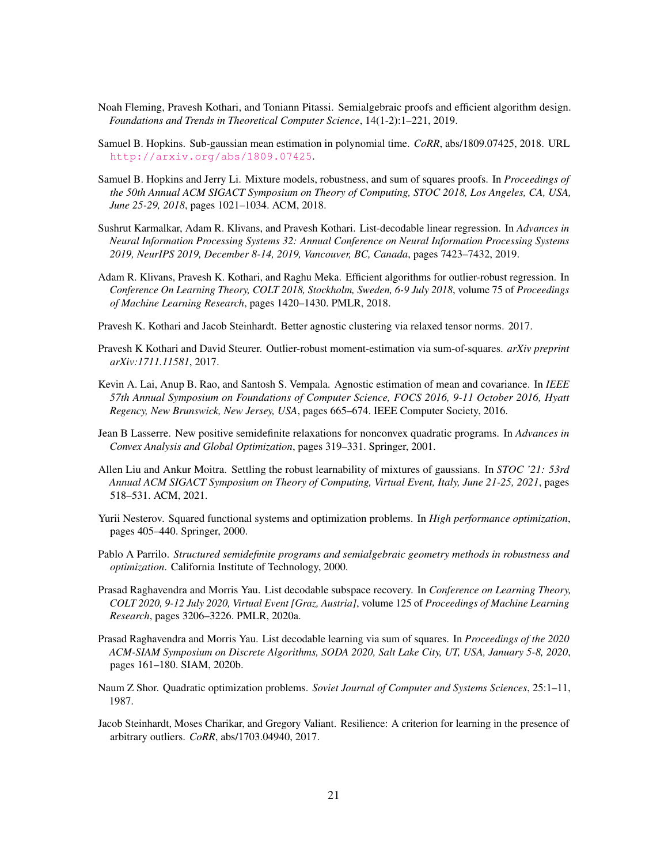- <span id="page-22-10"></span>Noah Fleming, Pravesh Kothari, and Toniann Pitassi. Semialgebraic proofs and efficient algorithm design. *Foundations and Trends in Theoretical Computer Science*, 14(1-2):1–221, 2019.
- <span id="page-22-5"></span>Samuel B. Hopkins. Sub-gaussian mean estimation in polynomial time. *CoRR*, abs/1809.07425, 2018. URL <http://arxiv.org/abs/1809.07425>.
- <span id="page-22-3"></span>Samuel B. Hopkins and Jerry Li. Mixture models, robustness, and sum of squares proofs. In *Proceedings of the 50th Annual ACM SIGACT Symposium on Theory of Computing, STOC 2018, Los Angeles, CA, USA, June 25-29, 2018*, pages 1021–1034. ACM, 2018.
- <span id="page-22-6"></span>Sushrut Karmalkar, Adam R. Klivans, and Pravesh Kothari. List-decodable linear regression. In *Advances in Neural Information Processing Systems 32: Annual Conference on Neural Information Processing Systems 2019, NeurIPS 2019, December 8-14, 2019, Vancouver, BC, Canada*, pages 7423–7432, 2019.
- <span id="page-22-4"></span>Adam R. Klivans, Pravesh K. Kothari, and Raghu Meka. Efficient algorithms for outlier-robust regression. In *Conference On Learning Theory, COLT 2018, Stockholm, Sweden, 6-9 July 2018*, volume 75 of *Proceedings of Machine Learning Research*, pages 1420–1430. PMLR, 2018.
- <span id="page-22-2"></span>Pravesh K. Kothari and Jacob Steinhardt. Better agnostic clustering via relaxed tensor norms. 2017.
- <span id="page-22-0"></span>Pravesh K Kothari and David Steurer. Outlier-robust moment-estimation via sum-of-squares. *arXiv preprint arXiv:1711.11581*, 2017.
- <span id="page-22-1"></span>Kevin A. Lai, Anup B. Rao, and Santosh S. Vempala. Agnostic estimation of mean and covariance. In *IEEE 57th Annual Symposium on Foundations of Computer Science, FOCS 2016, 9-11 October 2016, Hyatt Regency, New Brunswick, New Jersey, USA*, pages 665–674. IEEE Computer Society, 2016.
- <span id="page-22-15"></span>Jean B Lasserre. New positive semidefinite relaxations for nonconvex quadratic programs. In *Advances in Convex Analysis and Global Optimization*, pages 319–331. Springer, 2001.
- <span id="page-22-9"></span>Allen Liu and Ankur Moitra. Settling the robust learnability of mixtures of gaussians. In *STOC '21: 53rd Annual ACM SIGACT Symposium on Theory of Computing, Virtual Event, Italy, June 21-25, 2021*, pages 518–531. ACM, 2021.
- <span id="page-22-14"></span>Yurii Nesterov. Squared functional systems and optimization problems. In *High performance optimization*, pages 405–440. Springer, 2000.
- <span id="page-22-13"></span>Pablo A Parrilo. *Structured semidefinite programs and semialgebraic geometry methods in robustness and optimization*. California Institute of Technology, 2000.
- <span id="page-22-7"></span>Prasad Raghavendra and Morris Yau. List decodable subspace recovery. In *Conference on Learning Theory, COLT 2020, 9-12 July 2020, Virtual Event [Graz, Austria]*, volume 125 of *Proceedings of Machine Learning Research*, pages 3206–3226. PMLR, 2020a.
- <span id="page-22-8"></span>Prasad Raghavendra and Morris Yau. List decodable learning via sum of squares. In *Proceedings of the 2020 ACM-SIAM Symposium on Discrete Algorithms, SODA 2020, Salt Lake City, UT, USA, January 5-8, 2020*, pages 161–180. SIAM, 2020b.
- <span id="page-22-12"></span>Naum Z Shor. Quadratic optimization problems. *Soviet Journal of Computer and Systems Sciences*, 25:1–11, 1987.
- <span id="page-22-11"></span>Jacob Steinhardt, Moses Charikar, and Gregory Valiant. Resilience: A criterion for learning in the presence of arbitrary outliers. *CoRR*, abs/1703.04940, 2017.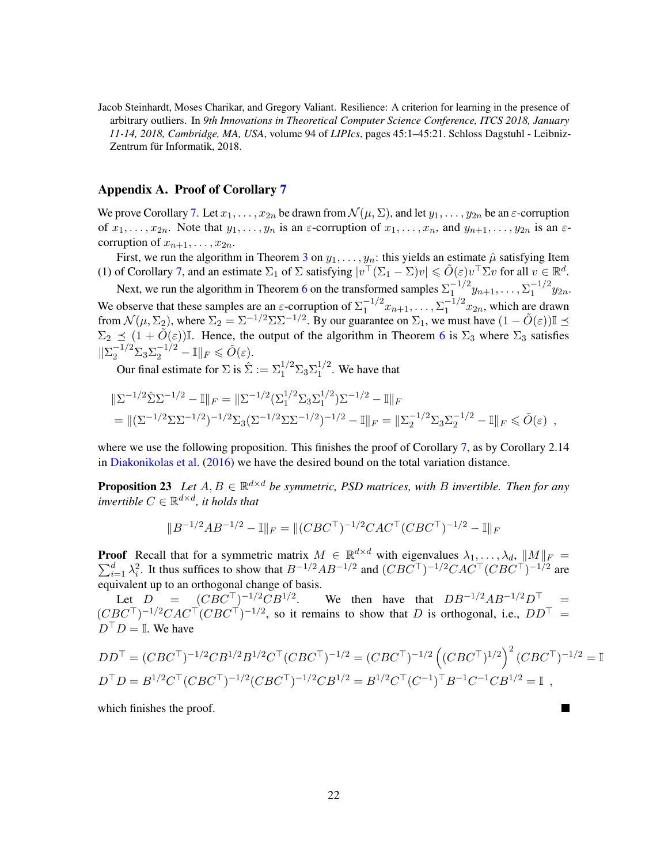<span id="page-23-1"></span>Jacob Steinhardt, Moses Charikar, and Gregory Valiant. Resilience: A criterion for learning in the presence of arbitrary outliers. In *9th Innovations in Theoretical Computer Science Conference, ITCS 2018, January 11-14, 2018, Cambridge, MA, USA*, volume 94 of *LIPIcs*, pages 45:1–45:21. Schloss Dagstuhl - Leibniz-Zentrum für Informatik, 2018.

# <span id="page-23-0"></span>Appendix A. Proof of Corollary [7](#page-6-1)

We prove Corollary [7.](#page-6-1) Let  $x_1, \ldots, x_{2n}$  be drawn from  $\mathcal{N}(\mu, \Sigma)$ , and let  $y_1, \ldots, y_{2n}$  be an  $\varepsilon$ -corruption of  $x_1, \ldots, x_{2n}$ . Note that  $y_1, \ldots, y_n$  is an  $\varepsilon$ -corruption of  $x_1, \ldots, x_n$ , and  $y_{n+1}, \ldots, y_{2n}$  is an  $\varepsilon$ corruption of  $x_{n+1}, \ldots, x_{2n}$ .

First, we run the algorithm in Theorem [3](#page-4-0) on  $y_1, \ldots, y_n$ : this yields an estimate  $\hat{\mu}$  satisfying Item (1) of Corollary [7,](#page-6-1) and an estimate  $\Sigma_1$  of  $\Sigma$  satisfying  $|v^\top (\Sigma_1 - \Sigma)v| \leq \tilde{O}(\varepsilon) v^\top \Sigma v$  for all  $v \in \mathbb{R}^d$ .

Next, we run the algorithm in Theorem [6](#page-5-0) on the transformed samples  $\Sigma_1^{-1/2}$  $\sum_{1}^{-1/2} y_{n+1}, \ldots, \sum_{1}^{-1/2}$  $1^{-1/2}y_{2n}$ . We observe that these samples are an  $\varepsilon$ -corruption of  $\Sigma_1^{-1/2}$  $\sum_{1}^{-1/2} x_{n+1}, \ldots, \sum_{1}^{-1/2}$  $1^{-1/2}x_{2n}$ , which are drawn from  $\mathcal{N}(\mu, \Sigma_2)$ , where  $\Sigma_2 = \Sigma^{-1/2} \Sigma \Sigma^{-1/2}$ . By our guarantee on  $\Sigma_1$ , we must have  $(1 - \tilde{O}(\varepsilon))\mathbb{I} \preceq$  $\Sigma_2 \preceq (1 + \tilde{O}(\varepsilon))$ I. Hence, the output of the algorithm in Theorem [6](#page-5-0) is  $\Sigma_3$  where  $\Sigma_3$  satisfies  $\|\Sigma_2^{-1/2}\Sigma_3\Sigma_2^{-1/2} - \mathbb{I}\|_F \leq \tilde{O}(\varepsilon).$ 

Our final estimate for  $\Sigma$  is  $\hat{\Sigma} := \Sigma_1^{1/2} \Sigma_3 \Sigma_1^{1/2}$  $1^{1/2}$ . We have that

$$
\begin{aligned} &\|\Sigma^{-1/2}\hat{\Sigma}\Sigma^{-1/2} - \mathbb{I}\|_{F} = \|\Sigma^{-1/2}(\Sigma_1^{1/2}\Sigma_3\Sigma_1^{1/2})\Sigma^{-1/2} - \mathbb{I}\|_{F} \\ &= \|(\Sigma^{-1/2}\Sigma\Sigma^{-1/2})^{-1/2}\Sigma_3(\Sigma^{-1/2}\Sigma\Sigma^{-1/2})^{-1/2} - \mathbb{I}\|_{F} = \|\Sigma_2^{-1/2}\Sigma_3\Sigma_2^{-1/2} - \mathbb{I}\|_{F} \le \tilde{O}(\varepsilon) \end{aligned}
$$

where we use the following proposition. This finishes the proof of Corollary [7,](#page-6-1) as by Corollary 2.14 in [Diakonikolas et al.](#page-21-0) [\(2016\)](#page-21-0) we have the desired bound on the total variation distance.

**Proposition 23** Let  $A, B \in \mathbb{R}^{d \times d}$  be symmetric, PSD matrices, with B invertible. Then for any *invertible*  $C \in \mathbb{R}^{d \times d}$ *, it holds that* 

$$
||B^{-1/2}AB^{-1/2} - \mathbb{I}||_F = ||(CBC^\top)^{-1/2}CAC^\top (CBC^\top)^{-1/2} - \mathbb{I}||_F
$$

**Proof** Recall that for a symmetric matrix  $M \in \mathbb{R}^{d \times d}$  with eigenvalues  $\lambda_1, \ldots, \lambda_d$ ,  $||M||_F =$  $\sum_{i=1}^d \lambda_i^2$ . It thus suffices to show that  $B^{-1/2}AB^{-1/2}$  and  $(CBC^{\top})^{-1/2}CAC^{\top}(CBC^{\top})^{-1/2}$  are equivalent up to an orthogonal change of basis.

Let  $D = (CBC^{\top})^{-1/2}CB^{1/2}$ . We then have that  $DB^{-1/2}AB^{-1/2}D^{\top} =$  $(CBC^{\top})^{-1/2}CAC^{\top} (CBC^{\top})^{-1/2}$ , so it remains to show that D is orthogonal, i.e.,  $DD^{\top} =$  $D^{\top} D = \mathbb{I}$ . We have

$$
DD^{\top} = (CBC^{\top})^{-1/2}CB^{1/2}B^{1/2}C^{\top}(CBC^{\top})^{-1/2} = (CBC^{\top})^{-1/2}((CBC^{\top})^{1/2})^2(CBC^{\top})^{-1/2} = \mathbb{I}
$$
  

$$
D^{\top}D = B^{1/2}C^{\top}(CBC^{\top})^{-1/2}(CBC^{\top})^{-1/2}CB^{1/2} = B^{1/2}C^{\top}(C^{-1})^{\top}B^{-1}C^{-1}CB^{1/2} = \mathbb{I},
$$

which finishes the proof.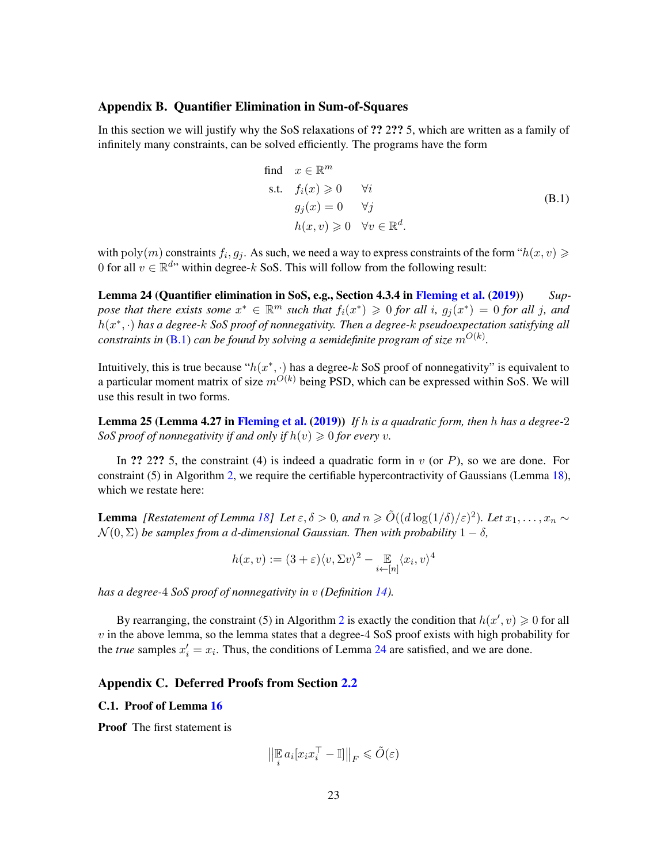# <span id="page-24-0"></span>Appendix B. Quantifier Elimination in Sum-of-Squares

In this section we will justify why the SoS relaxations of ?? 2?? 5, which are written as a family of infinitely many constraints, can be solved efficiently. The programs have the form

<span id="page-24-3"></span>find 
$$
x \in \mathbb{R}^m
$$
  
\ns.t.  $f_i(x) \ge 0$   $\forall i$   
\n $g_j(x) = 0$   $\forall j$   
\n $h(x, v) \ge 0$   $\forall v \in \mathbb{R}^d$ . (B.1)

with  $poly(m)$  constraints  $f_i, g_j$ . As such, we need a way to express constraints of the form " $h(x, v) \geq$ 0 for all  $v \in \mathbb{R}^{d}$  within degree-k SoS. This will follow from the following result:

<span id="page-24-4"></span>Lemma 24 (Quantifier elimination in SoS, e.g., Section 4.3.4 in [Fleming et al.](#page-22-10) [\(2019\)](#page-22-10)) *Sup*pose that there exists some  $x^* \in \mathbb{R}^m$  such that  $f_i(x^*) \geqslant 0$  for all i,  $g_j(x^*) = 0$  for all j, and h(x ∗ , ·) *has a degree-*k *SoS proof of nonnegativity. Then a degree-*k *pseudoexpectation satisfying all constraints in* [\(B.1\)](#page-24-3) *can be found by solving a semidefinite program of size*  $m^{O(k)}$ .

Intuitively, this is true because " $h(x^*, \cdot)$  has a degree-k SoS proof of nonnegativity" is equivalent to a particular moment matrix of size  $m^{O(k)}$  being PSD, which can be expressed within SoS. We will use this result in two forms.

Lemma 25 (Lemma 4.27 in [Fleming et al.](#page-22-10) [\(2019\)](#page-22-10)) *If* h *is a quadratic form, then* h *has a degree-*2 *SoS proof of nonnegativity if and only if*  $h(v) \geq 0$  *for every v*.

In ?? 2?? 5, the constraint (4) is indeed a quadratic form in  $v$  (or  $P$ ), so we are done. For constraint (5) in Algorithm [2,](#page-4-1) we require the certifiable hypercontractivity of Gaussians (Lemma [18\)](#page-11-2), which we restate here:

**Lemma** [Restatement of Lemma [18\]](#page-11-2) Let  $\varepsilon, \delta > 0$ , and  $n \ge \tilde{O}((d \log(1/\delta)/\varepsilon)^2)$ . Let  $x_1, \ldots, x_n \sim$  $\mathcal{N}(0, \Sigma)$  *be samples from a d-dimensional Gaussian. Then with probability*  $1 - \delta$ ,

$$
h(x,v):=(3+\varepsilon)\langle v,\Sigma v\rangle^2-\mathop{\mathbb{E}}_{i\leftarrow[n]}\langle x_i,v\rangle^4
$$

*has a degree-*4 *SoS proof of nonnegativity in* v *(Definition [14\)](#page-9-0).*

By rearranging, the constraint (5) in Algorithm [2](#page-4-1) is exactly the condition that  $h(x', v) \ge 0$  for all  $v$  in the above lemma, so the lemma states that a degree-4 SoS proof exists with high probability for the *true* samples  $x'_i = x_i$ . Thus, the conditions of Lemma [24](#page-24-4) are satisfied, and we are done.

# <span id="page-24-1"></span>Appendix C. Deferred Proofs from Section [2.2](#page-10-0)

## <span id="page-24-2"></span>C.1. Proof of Lemma [16](#page-10-1)

**Proof** The first statement is

$$
\left\| \mathbb{E}_i a_i \left[ x_i x_i^\top - \mathbb{I} \right] \right\|_F \leq \tilde{O}(\varepsilon)
$$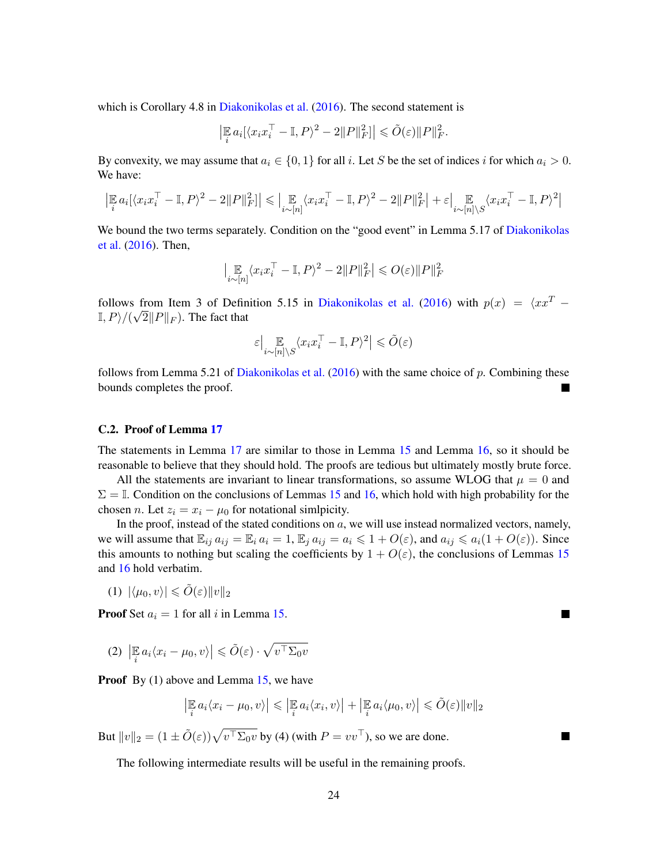which is Corollary 4.8 in [Diakonikolas et al.](#page-21-0) [\(2016\)](#page-21-0). The second statement is

$$
\left|\mathbb{E}_i a_i[\langle x_i x_i^\top - \mathbb{I}, P \rangle^2 - 2||P||_F^2] \right| \leq \tilde{O}(\varepsilon) ||P||_F^2.
$$

By convexity, we may assume that  $a_i \in \{0, 1\}$  for all i. Let S be the set of indices i for which  $a_i > 0$ . We have:

$$
\left|\mathop{\mathbb{E}}_i a_i [\langle x_i x_i^\top - \mathbb{I}, P \rangle^2 - 2\|P\|_F^2] \right| \leqslant \left|\mathop{\mathbb{E}}_{i \sim [n]} \langle x_i x_i^\top - \mathbb{I}, P \rangle^2 - 2\|P\|_F^2\right| + \varepsilon \left|\mathop{\mathbb{E}}_{i \sim [n] \backslash S} \langle x_i x_i^\top - \mathbb{I}, P \rangle^2\right|
$$

We bound the two terms separately. Condition on the "good event" in Lemma 5.17 of [Diakonikolas](#page-21-0) [et al.](#page-21-0) [\(2016\)](#page-21-0). Then,

$$
\big|\mathop{\mathbb{E}}_{i\sim[n]}\langle x_ix_i^\top-\mathbb{I},P\rangle^2-2\|P\|_F^2\big|\leqslant O(\varepsilon)\|P\|_F^2
$$

follows from Item 3 of Definition 5.15 in [Diakonikolas et al.](#page-21-0) [\(2016\)](#page-21-0) with  $p(x) = \langle x x^T \mathbb{I}, P \rangle / (\sqrt{2} \|P\|_F)$ . The fact that

$$
\varepsilon \big| \mathop{\mathbb{E}}_{i \sim [n] \setminus S} \langle x_i x_i^\top - \mathbb{I}, P \rangle^2 \big| \le \tilde{O}(\varepsilon)
$$

follows from Lemma 5.21 of [Diakonikolas et al.](#page-21-0)  $(2016)$  with the same choice of p. Combining these bounds completes the proof.

#### <span id="page-25-0"></span>C.2. Proof of Lemma [17](#page-10-2)

The statements in Lemma [17](#page-10-2) are similar to those in Lemma [15](#page-10-3) and Lemma [16,](#page-10-1) so it should be reasonable to believe that they should hold. The proofs are tedious but ultimately mostly brute force.

All the statements are invariant to linear transformations, so assume WLOG that  $\mu = 0$  and  $\Sigma = \mathbb{I}$ . Condition on the conclusions of Lemmas [15](#page-10-3) and [16,](#page-10-1) which hold with high probability for the chosen n. Let  $z_i = x_i - \mu_0$  for notational similpicity.

In the proof, instead of the stated conditions on  $a$ , we will use instead normalized vectors, namely, we will assume that  $\mathbb{E}_{ij} a_{ij} = \mathbb{E}_i a_i = 1$ ,  $\mathbb{E}_j a_{ij} = a_i \leq 1 + O(\varepsilon)$ , and  $a_{ij} \leq a_i(1 + O(\varepsilon))$ . Since this amounts to nothing but scaling the coefficients by  $1 + O(\varepsilon)$ , the conclusions of Lemmas [15](#page-10-3) and [16](#page-10-1) hold verbatim.

(1)  $|\langle \mu_0, v \rangle| \leq \tilde{O}(\varepsilon) \|v\|_2$ 

**Proof** Set  $a_i = 1$  for all i in Lemma [15.](#page-10-3)

(2)  $\left| \mathbb{E}_i a_i \langle x_i - \mu_0, v \rangle \right| \leq \tilde{O}(\varepsilon) \cdot \sqrt{v^\top \Sigma_0 v}$ 

**Proof** By (1) above and Lemma [15,](#page-10-3) we have

$$
\left|\mathbb{E}_i a_i \langle x_i - \mu_0, v \rangle\right| \leq \left|\mathbb{E}_i a_i \langle x_i, v \rangle\right| + \left|\mathbb{E}_i a_i \langle \mu_0, v \rangle\right| \leq \tilde{O}(\varepsilon) \|v\|_2
$$

But  $||v||_2 = (1 \pm \tilde{O}(\varepsilon))\sqrt{v^{\top} \Sigma_0 v}$  by (4) (with  $P = vv^{\top}$ ), so we are done.

The following intermediate results will be useful in the remaining proofs.

 $\blacksquare$ 

<span id="page-25-1"></span>×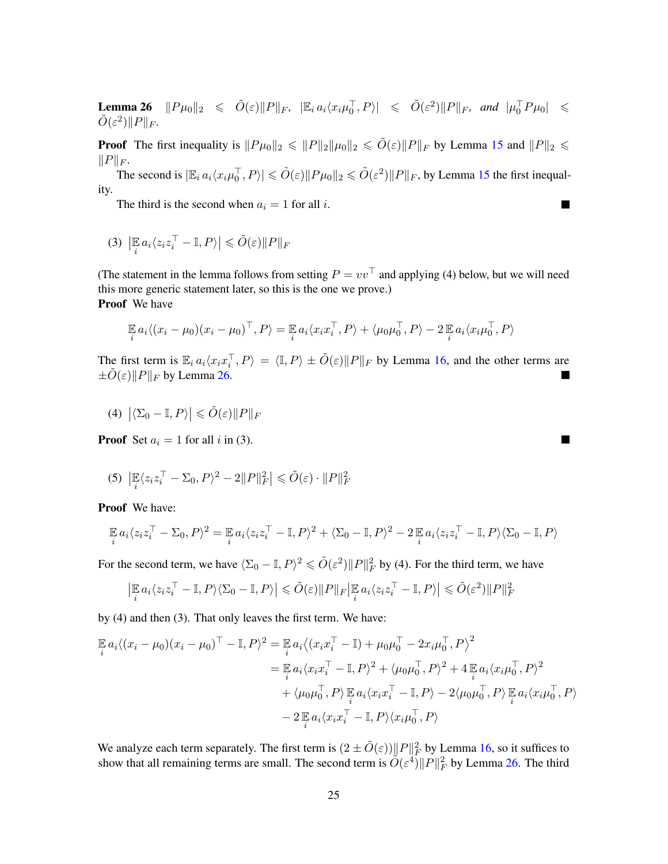**Lemma 26**  $\|P\mu_0\|_2 \le \tilde{O}(\varepsilon)\|P\|_F$ ,  $|\mathbb{E}_i a_i \langle x_i\mu_0^{\top}, P \rangle| \le \tilde{O}(\varepsilon^2)\|P\|_F$ , and  $|\mu_0^{\top} P\mu_0| \le$  $\tilde{O}(\varepsilon^2)\|P\|_F.$ 

**Proof** The first inequality is  $||P\mu_0||_2 \le ||P||_2 ||\mu_0||_2 \le \tilde{O}(\varepsilon) ||P||_F$  by Lemma [15](#page-10-3) and  $||P||_2 \le$  $||P||_F$ .

The second is  $|\mathbb{E}_i a_i \langle x_i \mu_0^{\top}, P \rangle| \le \tilde{O}(\varepsilon) \|P\mu_0\|_2 \le \tilde{O}(\varepsilon^2) \|P\|_F$ , by Lemma [15](#page-10-3) the first inequality.

The third is the second when  $a_i = 1$  for all i.

$$
(3) \left| \mathop{\mathbb{E}}_i a_i \langle z_i z_i^\top - \mathbb{I}, P \rangle \right| \leq \tilde{O}(\varepsilon) \| P \|_F
$$

(The statement in the lemma follows from setting  $P = vv^{\top}$  and applying (4) below, but we will need this more generic statement later, so this is the one we prove.) Proof We have

$$
\mathbb{E} a_i \langle (x_i - \mu_0)(x_i - \mu_0)^\top, P \rangle = \mathbb{E} a_i \langle x_i x_i^\top, P \rangle + \langle \mu_0 \mu_0^\top, P \rangle - 2 \mathbb{E} a_i \langle x_i \mu_0^\top, P \rangle
$$

The first term is  $\mathbb{E}_i a_i \langle x_i x_i^{\top}, P \rangle = \langle \mathbb{I}, P \rangle \pm \tilde{O}(\varepsilon) \|P\|_F$  by Lemma [16,](#page-10-1) and the other terms are  $\pm \tilde{O}(\varepsilon)$ ||P||<sub>F</sub> by Lemma [26.](#page-25-1)

$$
(4) \left| \langle \Sigma_0 - \mathbb{I}, P \rangle \right| \leq \tilde{O}(\varepsilon) \| P \|_F
$$

**Proof** Set  $a_i = 1$  for all i in (3).

$$
(5) \ \left| \mathbb{E}_{i} \langle z_{i} z_{i}^{\top} - \Sigma_{0}, P \rangle^{2} - 2||P||_{F}^{2} \right| \leq \tilde{O}(\varepsilon) \cdot ||P||_{F}^{2}
$$

Proof We have:

$$
\mathop{\mathbb{E}}_i a_i \langle z_i z_i^\top - \Sigma_0, P \rangle^2 = \mathop{\mathbb{E}}_i a_i \langle z_i z_i^\top - \mathbb{I}, P \rangle^2 + \langle \Sigma_0 - \mathbb{I}, P \rangle^2 - 2 \mathop{\mathbb{E}}_i a_i \langle z_i z_i^\top - \mathbb{I}, P \rangle \langle \Sigma_0 - \mathbb{I}, P \rangle
$$

For the second term, we have  $\langle \Sigma_0 - \mathbb{I}, P \rangle^2 \leq \tilde{O}(\varepsilon^2) \|P\|_F^2$  by (4). For the third term, we have

$$
\left|\mathbb{E}_i a_i \langle z_i z_i^\top - \mathbb{I}, P \rangle \langle \Sigma_0 - \mathbb{I}, P \rangle\right| \leq \tilde{O}(\varepsilon) \|P\|_F \left|\mathbb{E}_i a_i \langle z_i z_i^\top - \mathbb{I}, P \rangle\right| \leq \tilde{O}(\varepsilon^2) \|P\|_F^2
$$

by (4) and then (3). That only leaves the first term. We have:

$$
\mathbb{E} a_i \langle (x_i - \mu_0)(x_i - \mu_0)^\top - \mathbb{I}, P \rangle^2 = \mathbb{E} a_i \langle (x_i x_i^\top - \mathbb{I}) + \mu_0 \mu_0^\top - 2x_i \mu_0^\top, P \rangle^2
$$
  
\n
$$
= \mathbb{E} a_i \langle x_i x_i^\top - \mathbb{I}, P \rangle^2 + \langle \mu_0 \mu_0^\top, P \rangle^2 + 4 \mathbb{E} a_i \langle x_i \mu_0^\top, P \rangle^2
$$
  
\n
$$
+ \langle \mu_0 \mu_0^\top, P \rangle \mathbb{E} a_i \langle x_i x_i^\top - \mathbb{I}, P \rangle - 2 \langle \mu_0 \mu_0^\top, P \rangle \mathbb{E} a_i \langle x_i \mu_0^\top, P \rangle
$$
  
\n
$$
- 2 \mathbb{E} a_i \langle x_i x_i^\top - \mathbb{I}, P \rangle \langle x_i \mu_0^\top, P \rangle
$$

We analyze each term separately. The first term is  $(2 \pm \tilde{O}(\varepsilon)) ||P||_F^2$  by Lemma [16,](#page-10-1) so it suffices to show that all remaining terms are small. The second term is  $\tilde{O}(\varepsilon^4) ||P||_F^2$  by Lemma [26.](#page-25-1) The third

 $\blacksquare$ 

 $\blacksquare$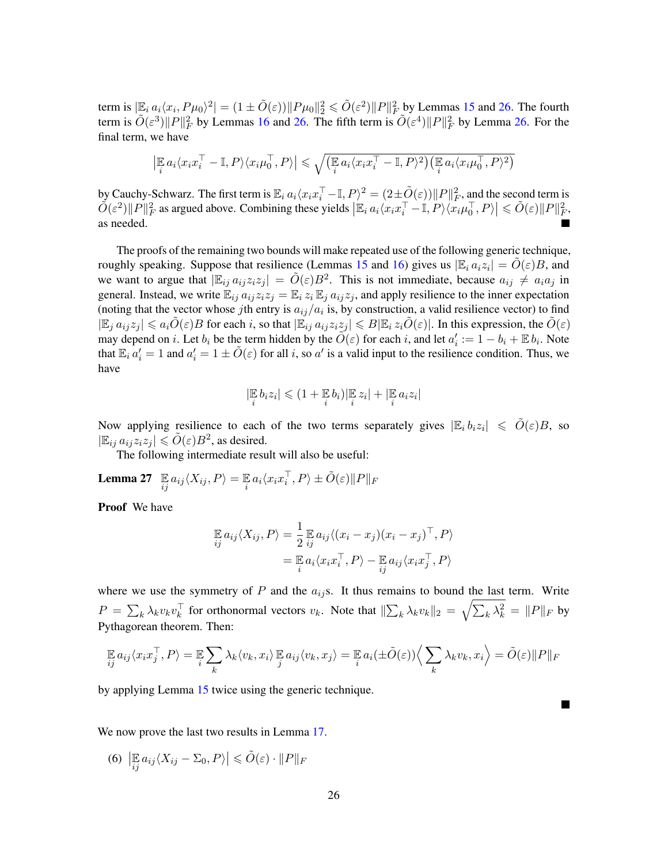term is  $|\mathbb{E}_i a_i \langle x_i, P\mu_0 \rangle^2| = (1 \pm \tilde{O}(\varepsilon)) \|P\mu_0\|_2^2 \leqslant \tilde{O}(\varepsilon^2) \|P\|_F^2$  by Lemmas [15](#page-10-3) and [26.](#page-25-1) The fourth term is  $\tilde{O}(\varepsilon^3) ||P||_F^2$  by Lemmas [16](#page-10-1) and [26.](#page-25-1) The fifth term is  $\tilde{O}(\varepsilon^4) ||P||_F^2$  by Lemma 26. For the final term, we have

$$
\left|\mathbb{E}_{i} a_{i} \langle x_{i} x_{i}^{\top} - \mathbb{I}, P \rangle \langle x_{i} \mu_{0}^{\top}, P \rangle\right| \leq \sqrt{\left(\mathbb{E}_{i} a_{i} \langle x_{i} x_{i}^{\top} - \mathbb{I}, P \rangle^{2}\right) \left(\mathbb{E}_{i} a_{i} \langle x_{i} \mu_{0}^{\top}, P \rangle^{2}\right)}
$$

by Cauchy-Schwarz. The first term is  $\mathbb{E}_i a_i \langle x_i x_i^\top - \mathbb{I}, P \rangle^2 = (2 \pm \tilde{O}(\varepsilon)) \|P\|_F^2$ , and the second term is  $\tilde{O}(\varepsilon^2) ||P||_F^2$  as argued above. Combining these yields  $\left| \mathbb{E}_i a_i \langle x_i x_i^\top - \mathbb{I}, P \rangle \langle x_i \mu_0^\top, P \rangle \right| \leq \tilde{O}(\varepsilon) ||P||_F^2$ . as needed.

The proofs of the remaining two bounds will make repeated use of the following generic technique, roughly speaking. Suppose that resilience (Lemmas [15](#page-10-3) and [16\)](#page-10-1) gives us  $|\mathbb{E}_i a_i z_i| = \tilde{O}(\varepsilon)B$ , and we want to argue that  $|\mathbb{E}_{ij} a_{ij} z_i z_j| = \tilde{O}(\varepsilon)B^2$ . This is not immediate, because  $a_{ij} \neq a_i a_j$  in general. Instead, we write  $\mathbb{E}_{ij} a_{ij} z_i z_j = \mathbb{E}_i z_i \mathbb{E}_j a_{ij} z_j$ , and apply resilience to the inner expectation (noting that the vector whose jth entry is  $a_{ij}/a_i$  is, by construction, a valid resilience vector) to find  $|\mathbb{E}_i a_{ij}z_j| \leq a_i \tilde{O}(\varepsilon)B$  for each i, so that  $|\mathbb{E}_{ij} a_{ij}z_iz_j| \leq B|\mathbb{E}_i z_i\tilde{O}(\varepsilon)|$ . In this expression, the  $\tilde{O}(\varepsilon)$ may depend on i. Let  $b_i$  be the term hidden by the  $\tilde{O}(\varepsilon)$  for each i, and let  $a'_i := 1 - b_i + \mathbb{E} b_i$ . Note that  $\mathbb{E}_i a'_i = 1$  and  $a'_i = 1 \pm \tilde{O}(\varepsilon)$  for all i, so a' is a valid input to the resilience condition. Thus, we have

<span id="page-27-0"></span>
$$
|\mathop\mathbb{E}_{i} b_i z_i| \leqslant (1+\mathop\mathbb{E}_{i} b_i) |\mathop\mathbb{E}_{i} z_i| + |\mathop\mathbb{E}_{i} a_i z_i|
$$

Now applying resilience to each of the two terms separately gives  $|\mathbb{E}_i b_i z_i| \le \tilde{O}(\varepsilon)B$ , so  $|\mathbb{E}_{ij} a_{ij} z_i z_j| \leq \tilde{O}(\varepsilon) B^2$ , as desired.

The following intermediate result will also be useful:

Lemma 27  $\mathop{\mathbb{E}}_{{ij}} a_{ij}\langle X_{ij},P\rangle = \mathop{\mathbb{E}}_i a_i\langle x_ix_i^\top,P\rangle \pm \tilde{O}(\varepsilon) \|P\|_F$ 

Proof We have

$$
\mathbb{E}_{ij} a_{ij} \langle X_{ij}, P \rangle = \frac{1}{2} \mathbb{E}_{ij} a_{ij} \langle (x_i - x_j)(x_i - x_j)^\top, P \rangle
$$
  
= 
$$
\mathbb{E}_{ij} a_i \langle x_i x_i^\top, P \rangle - \mathbb{E}_{ij} a_{ij} \langle x_i x_j^\top, P \rangle
$$

where we use the symmetry of  $P$  and the  $a_{ij}$ s. It thus remains to bound the last term. Write  $P = \sum_k \lambda_k v_k v_k^{\top}$  for orthonormal vectors  $v_k$ . Note that  $\|\sum_k \lambda_k v_k\|_2 = \sqrt{\sum_k \lambda_k^2} = \|P\|_F$  by Pythagorean theorem. Then:

$$
\mathop{\mathbb{E}}_{ij} a_{ij} \langle x_i x_j^\top, P \rangle = \mathop{\mathbb{E}}_{i} \sum_{k} \lambda_k \langle v_k, x_i \rangle \mathop{\mathbb{E}}_{j} a_{ij} \langle v_k, x_j \rangle = \mathop{\mathbb{E}}_{i} a_i (\pm \tilde{O}(\varepsilon)) \Big\langle \sum_{k} \lambda_k v_k, x_i \Big\rangle = \tilde{O}(\varepsilon) \|P\|_F
$$

by applying Lemma [15](#page-10-3) twice using the generic technique.

We now prove the last two results in Lemma [17.](#page-10-2)

(6)  $\left| \mathop{\mathbb{E}}_{ij} a_{ij} \langle X_{ij} - \Sigma_0, P \rangle \right| \leq \tilde{O}(\varepsilon) \cdot ||P||_F$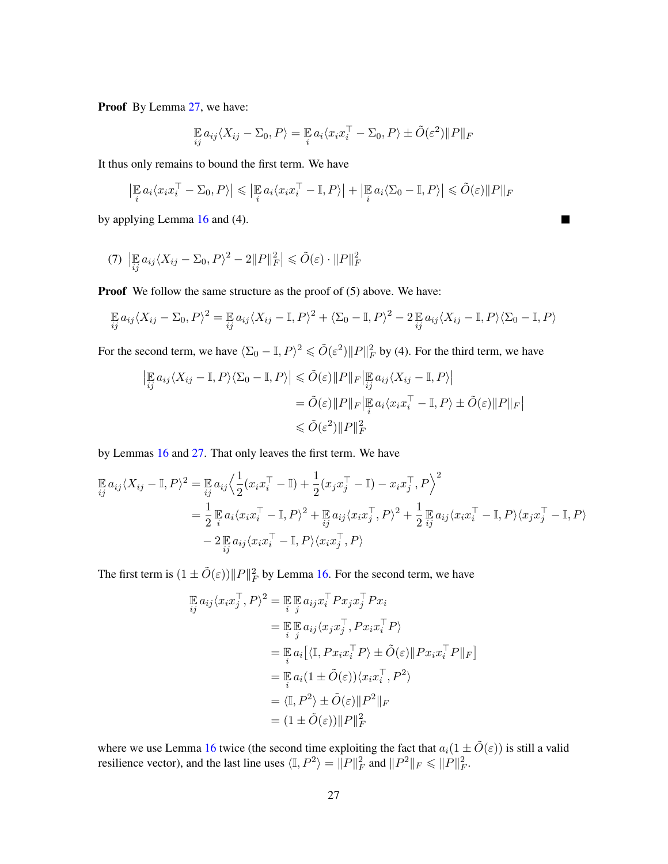Proof By Lemma [27,](#page-27-0) we have:

$$
\mathop{\mathbb{E}}_{ij} a_{ij} \langle X_{ij} - \Sigma_0, P \rangle = \mathop{\mathbb{E}}_{i} a_i \langle x_i x_i^\top - \Sigma_0, P \rangle \pm \tilde{O}(\varepsilon^2) \| P \|_F
$$

It thus only remains to bound the first term. We have

$$
\left| \mathop{\mathbb{E}}_i a_i \langle x_i x_i^\top - \Sigma_0, P \rangle \right| \leq \left| \mathop{\mathbb{E}}_i a_i \langle x_i x_i^\top - \mathop{\mathbb{I}}, P \rangle \right| + \left| \mathop{\mathbb{E}}_i a_i \langle \Sigma_0 - \mathop{\mathbb{I}}, P \rangle \right| \leq \tilde{O}(\varepsilon) \|P\|_F
$$

 $\blacksquare$ 

by applying Lemma [16](#page-10-1) and (4).

$$
(7) \left| \mathop{\mathbb{E}}_{ij} a_{ij} \langle X_{ij} - \Sigma_0, P \rangle^2 - 2||P||_F^2 \right| \leq \tilde{O}(\varepsilon) \cdot ||P||_F^2
$$

**Proof** We follow the same structure as the proof of (5) above. We have:

$$
\mathbb{E}_{ij} a_{ij} \langle X_{ij} - \Sigma_0, P \rangle^2 = \mathbb{E}_{ij} a_{ij} \langle X_{ij} - \mathbb{I}, P \rangle^2 + \langle \Sigma_0 - \mathbb{I}, P \rangle^2 - 2 \mathbb{E}_{ij} a_{ij} \langle X_{ij} - \mathbb{I}, P \rangle \langle \Sigma_0 - \mathbb{I}, P \rangle
$$

For the second term, we have  $\langle \Sigma_0 - \mathbb{I}, P \rangle^2 \leq \tilde{O}(\varepsilon^2) \|P\|_F^2$  by (4). For the third term, we have

$$
\left| \mathbb{E}_{ij} a_{ij} \langle X_{ij} - \mathbb{I}, P \rangle \langle \Sigma_0 - \mathbb{I}, P \rangle \right| \leq \tilde{O}(\varepsilon) \|P\|_F \left| \mathbb{E}_{ij} a_{ij} \langle X_{ij} - \mathbb{I}, P \rangle \right|
$$
  

$$
= \tilde{O}(\varepsilon) \|P\|_F \left| \mathbb{E}_{i} a_{i} \langle x_{i} x_{i}^{\top} - \mathbb{I}, P \rangle \pm \tilde{O}(\varepsilon) \|P\|_F \right|
$$
  

$$
\leq \tilde{O}(\varepsilon^2) \|P\|_F^2
$$

by Lemmas [16](#page-10-1) and [27.](#page-27-0) That only leaves the first term. We have

$$
\mathbb{E}_{ij} a_{ij} \langle X_{ij} - \mathbb{I}, P \rangle^2 = \mathbb{E}_{ij} a_{ij} \Big\langle \frac{1}{2} (x_i x_i^\top - \mathbb{I}) + \frac{1}{2} (x_j x_j^\top - \mathbb{I}) - x_i x_j^\top, P \Big\rangle^2
$$
  
\n
$$
= \frac{1}{2} \mathbb{E}_{ij} a_i \langle x_i x_i^\top - \mathbb{I}, P \rangle^2 + \mathbb{E}_{ij} a_{ij} \langle x_i x_j^\top, P \rangle^2 + \frac{1}{2} \mathbb{E}_{ij} a_{ij} \langle x_i x_i^\top - \mathbb{I}, P \rangle \langle x_j x_j^\top - \mathbb{I}, P \rangle
$$
  
\n
$$
- 2 \mathbb{E}_{ij} a_{ij} \langle x_i x_i^\top - \mathbb{I}, P \rangle \langle x_i x_j^\top, P \rangle
$$

The first term is  $(1 \pm \tilde{O}(\varepsilon)) ||P||_F^2$  by Lemma [16.](#page-10-1) For the second term, we have

$$
\mathbb{E} a_{ij} \langle x_i x_j^\top, P \rangle^2 = \mathbb{E} \mathbb{E} a_{ij} x_i^\top P x_j x_j^\top P x_i
$$
  
\n
$$
= \mathbb{E} \mathbb{E} a_{ij} \langle x_j x_j^\top, P x_i x_i^\top P \rangle
$$
  
\n
$$
= \mathbb{E} a_i \left[ \langle \mathbb{I}, P x_i x_i^\top P \rangle \pm \tilde{O}(\varepsilon) \| P x_i x_i^\top P \|_F \right]
$$
  
\n
$$
= \mathbb{E} a_i (1 \pm \tilde{O}(\varepsilon)) \langle x_i x_i^\top, P^2 \rangle
$$
  
\n
$$
= \langle \mathbb{I}, P^2 \rangle \pm \tilde{O}(\varepsilon) \| P^2 \|_F
$$
  
\n
$$
= (1 \pm \tilde{O}(\varepsilon)) \| P \|_F^2
$$

where we use Lemma [16](#page-10-1) twice (the second time exploiting the fact that  $a_i(1 \pm \tilde{O}(\varepsilon))$  is still a valid resilience vector), and the last line uses  $\langle \mathbb{I}, P^2 \rangle = ||P||_F^2$  and  $||P^2||_F \le ||P||_F^2$ .